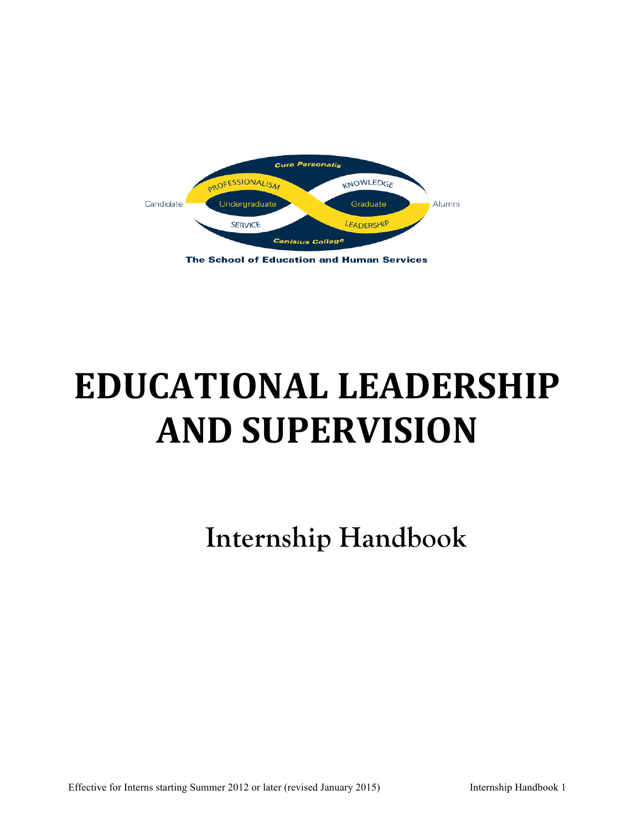

# **EDUCATIONAL LEADERSHIP AND SUPERVISION**

**Internship Handbook**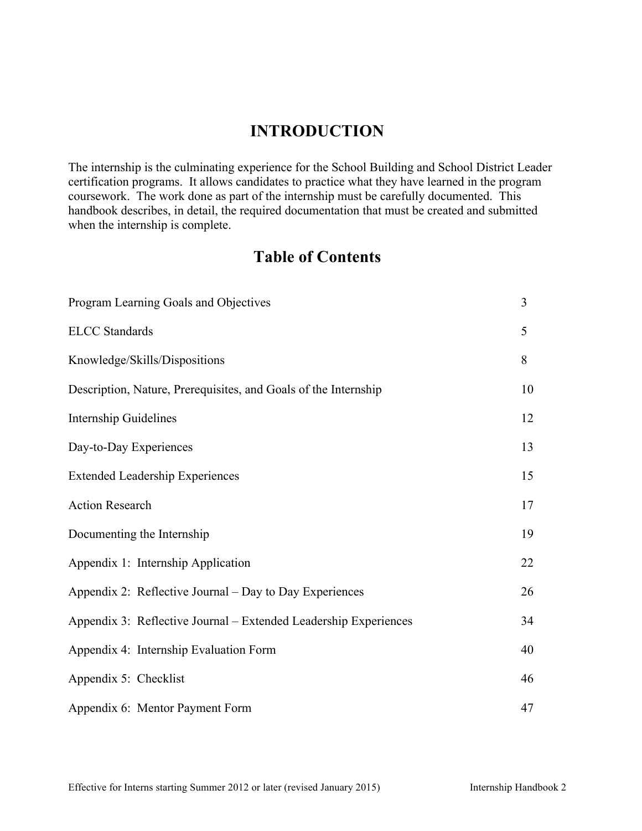## **INTRODUCTION**

The internship is the culminating experience for the School Building and School District Leader certification programs. It allows candidates to practice what they have learned in the program coursework. The work done as part of the internship must be carefully documented. This handbook describes, in detail, the required documentation that must be created and submitted when the internship is complete.

# **Table of Contents**

| Program Learning Goals and Objectives                            | 3  |
|------------------------------------------------------------------|----|
| <b>ELCC</b> Standards                                            | 5  |
| Knowledge/Skills/Dispositions                                    | 8  |
| Description, Nature, Prerequisites, and Goals of the Internship  | 10 |
| <b>Internship Guidelines</b>                                     | 12 |
| Day-to-Day Experiences                                           | 13 |
| <b>Extended Leadership Experiences</b>                           | 15 |
| <b>Action Research</b>                                           | 17 |
| Documenting the Internship                                       | 19 |
| Appendix 1: Internship Application                               | 22 |
| Appendix 2: Reflective Journal – Day to Day Experiences          | 26 |
| Appendix 3: Reflective Journal – Extended Leadership Experiences | 34 |
| Appendix 4: Internship Evaluation Form                           | 40 |
| Appendix 5: Checklist                                            | 46 |
| Appendix 6: Mentor Payment Form                                  | 47 |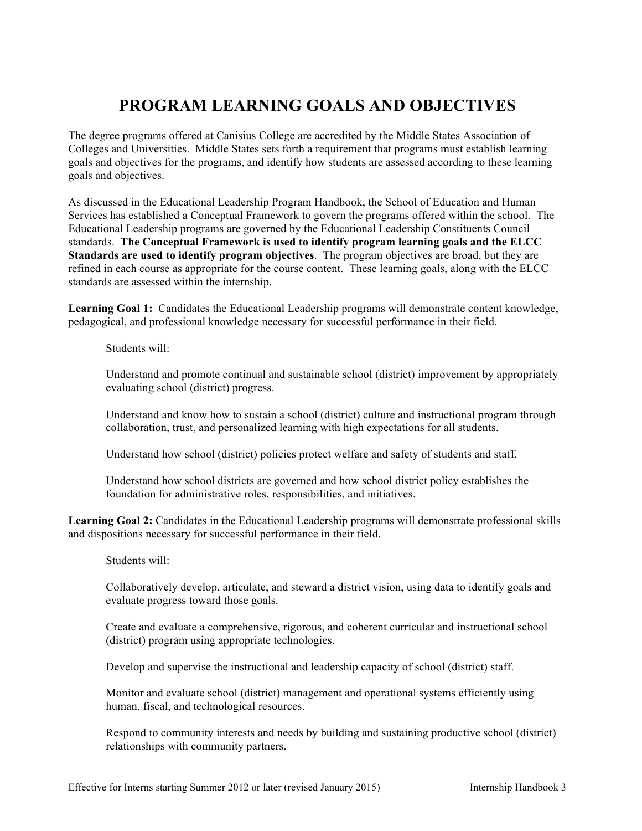# **PROGRAM LEARNING GOALS AND OBJECTIVES**

The degree programs offered at Canisius College are accredited by the Middle States Association of Colleges and Universities. Middle States sets forth a requirement that programs must establish learning goals and objectives for the programs, and identify how students are assessed according to these learning goals and objectives.

As discussed in the Educational Leadership Program Handbook, the School of Education and Human Services has established a Conceptual Framework to govern the programs offered within the school. The Educational Leadership programs are governed by the Educational Leadership Constituents Council standards. **The Conceptual Framework is used to identify program learning goals and the ELCC Standards are used to identify program objectives**. The program objectives are broad, but they are refined in each course as appropriate for the course content. These learning goals, along with the ELCC standards are assessed within the internship.

Learning Goal 1: Candidates the Educational Leadership programs will demonstrate content knowledge, pedagogical, and professional knowledge necessary for successful performance in their field.

Students will:

Understand and promote continual and sustainable school (district) improvement by appropriately evaluating school (district) progress.

Understand and know how to sustain a school (district) culture and instructional program through collaboration, trust, and personalized learning with high expectations for all students.

Understand how school (district) policies protect welfare and safety of students and staff.

Understand how school districts are governed and how school district policy establishes the foundation for administrative roles, responsibilities, and initiatives.

**Learning Goal 2:** Candidates in the Educational Leadership programs will demonstrate professional skills and dispositions necessary for successful performance in their field.

Students will:

Collaboratively develop, articulate, and steward a district vision, using data to identify goals and evaluate progress toward those goals.

Create and evaluate a comprehensive, rigorous, and coherent curricular and instructional school (district) program using appropriate technologies.

Develop and supervise the instructional and leadership capacity of school (district) staff.

Monitor and evaluate school (district) management and operational systems efficiently using human, fiscal, and technological resources.

Respond to community interests and needs by building and sustaining productive school (district) relationships with community partners.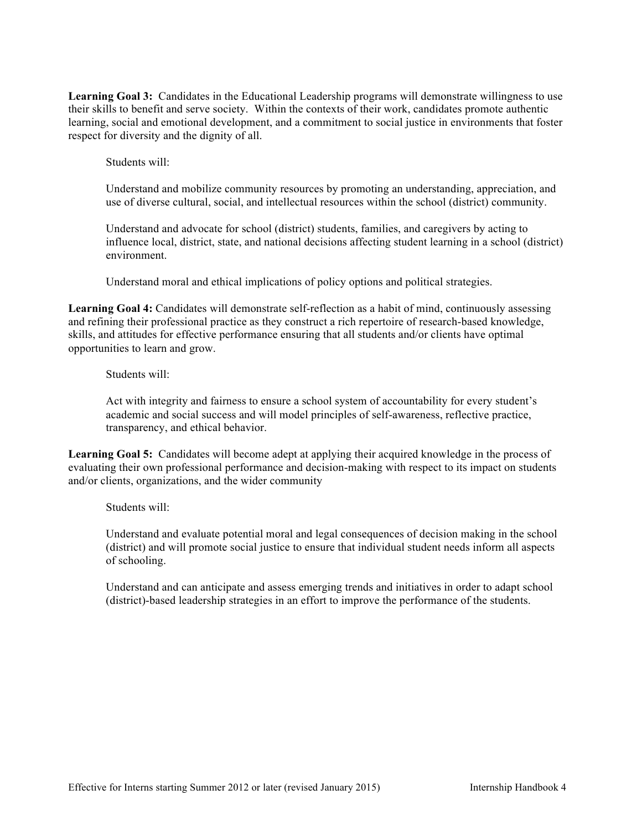**Learning Goal 3:** Candidates in the Educational Leadership programs will demonstrate willingness to use their skills to benefit and serve society. Within the contexts of their work, candidates promote authentic learning, social and emotional development, and a commitment to social justice in environments that foster respect for diversity and the dignity of all.

Students will:

Understand and mobilize community resources by promoting an understanding, appreciation, and use of diverse cultural, social, and intellectual resources within the school (district) community.

Understand and advocate for school (district) students, families, and caregivers by acting to influence local, district, state, and national decisions affecting student learning in a school (district) environment.

Understand moral and ethical implications of policy options and political strategies.

**Learning Goal 4:** Candidates will demonstrate self-reflection as a habit of mind, continuously assessing and refining their professional practice as they construct a rich repertoire of research-based knowledge, skills, and attitudes for effective performance ensuring that all students and/or clients have optimal opportunities to learn and grow.

Students will:

Act with integrity and fairness to ensure a school system of accountability for every student's academic and social success and will model principles of self-awareness, reflective practice, transparency, and ethical behavior.

**Learning Goal 5:** Candidates will become adept at applying their acquired knowledge in the process of evaluating their own professional performance and decision-making with respect to its impact on students and/or clients, organizations, and the wider community

Students will:

Understand and evaluate potential moral and legal consequences of decision making in the school (district) and will promote social justice to ensure that individual student needs inform all aspects of schooling.

Understand and can anticipate and assess emerging trends and initiatives in order to adapt school (district)-based leadership strategies in an effort to improve the performance of the students.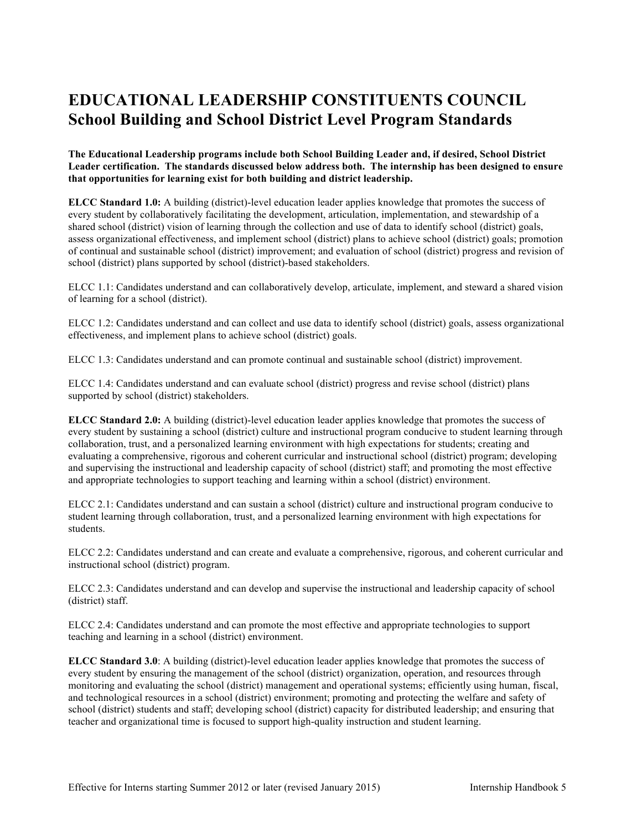# **EDUCATIONAL LEADERSHIP CONSTITUENTS COUNCIL School Building and School District Level Program Standards**

**The Educational Leadership programs include both School Building Leader and, if desired, School District Leader certification. The standards discussed below address both. The internship has been designed to ensure that opportunities for learning exist for both building and district leadership.**

**ELCC Standard 1.0:** A building (district)-level education leader applies knowledge that promotes the success of every student by collaboratively facilitating the development, articulation, implementation, and stewardship of a shared school (district) vision of learning through the collection and use of data to identify school (district) goals, assess organizational effectiveness, and implement school (district) plans to achieve school (district) goals; promotion of continual and sustainable school (district) improvement; and evaluation of school (district) progress and revision of school (district) plans supported by school (district)-based stakeholders.

ELCC 1.1: Candidates understand and can collaboratively develop, articulate, implement, and steward a shared vision of learning for a school (district).

ELCC 1.2: Candidates understand and can collect and use data to identify school (district) goals, assess organizational effectiveness, and implement plans to achieve school (district) goals.

ELCC 1.3: Candidates understand and can promote continual and sustainable school (district) improvement.

ELCC 1.4: Candidates understand and can evaluate school (district) progress and revise school (district) plans supported by school (district) stakeholders.

**ELCC Standard 2.0:** A building (district)-level education leader applies knowledge that promotes the success of every student by sustaining a school (district) culture and instructional program conducive to student learning through collaboration, trust, and a personalized learning environment with high expectations for students; creating and evaluating a comprehensive, rigorous and coherent curricular and instructional school (district) program; developing and supervising the instructional and leadership capacity of school (district) staff; and promoting the most effective and appropriate technologies to support teaching and learning within a school (district) environment.

ELCC 2.1: Candidates understand and can sustain a school (district) culture and instructional program conducive to student learning through collaboration, trust, and a personalized learning environment with high expectations for students.

ELCC 2.2: Candidates understand and can create and evaluate a comprehensive, rigorous, and coherent curricular and instructional school (district) program.

ELCC 2.3: Candidates understand and can develop and supervise the instructional and leadership capacity of school (district) staff.

ELCC 2.4: Candidates understand and can promote the most effective and appropriate technologies to support teaching and learning in a school (district) environment.

**ELCC Standard 3.0**: A building (district)-level education leader applies knowledge that promotes the success of every student by ensuring the management of the school (district) organization, operation, and resources through monitoring and evaluating the school (district) management and operational systems; efficiently using human, fiscal, and technological resources in a school (district) environment; promoting and protecting the welfare and safety of school (district) students and staff; developing school (district) capacity for distributed leadership; and ensuring that teacher and organizational time is focused to support high-quality instruction and student learning.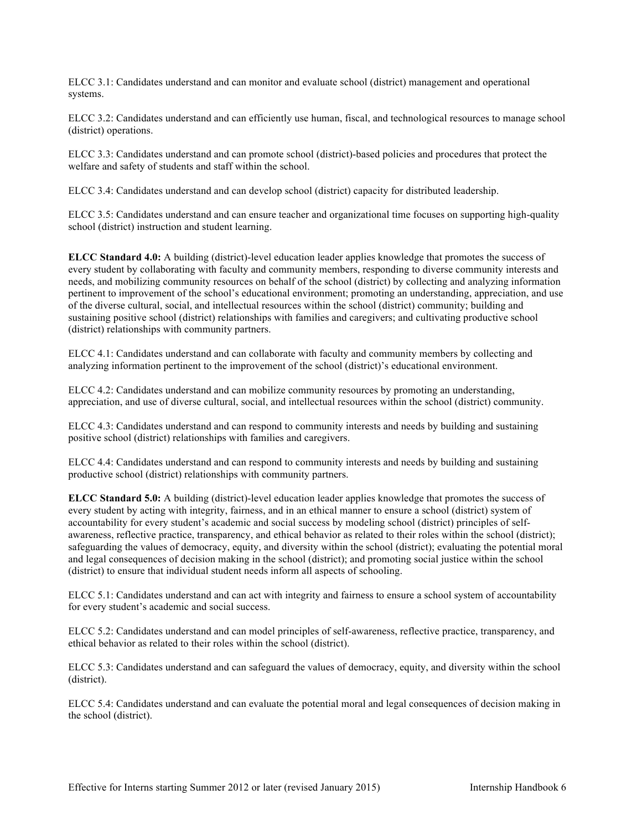ELCC 3.1: Candidates understand and can monitor and evaluate school (district) management and operational systems.

ELCC 3.2: Candidates understand and can efficiently use human, fiscal, and technological resources to manage school (district) operations.

ELCC 3.3: Candidates understand and can promote school (district)-based policies and procedures that protect the welfare and safety of students and staff within the school.

ELCC 3.4: Candidates understand and can develop school (district) capacity for distributed leadership.

ELCC 3.5: Candidates understand and can ensure teacher and organizational time focuses on supporting high-quality school (district) instruction and student learning.

**ELCC Standard 4.0:** A building (district)-level education leader applies knowledge that promotes the success of every student by collaborating with faculty and community members, responding to diverse community interests and needs, and mobilizing community resources on behalf of the school (district) by collecting and analyzing information pertinent to improvement of the school's educational environment; promoting an understanding, appreciation, and use of the diverse cultural, social, and intellectual resources within the school (district) community; building and sustaining positive school (district) relationships with families and caregivers; and cultivating productive school (district) relationships with community partners.

ELCC 4.1: Candidates understand and can collaborate with faculty and community members by collecting and analyzing information pertinent to the improvement of the school (district)'s educational environment.

ELCC 4.2: Candidates understand and can mobilize community resources by promoting an understanding, appreciation, and use of diverse cultural, social, and intellectual resources within the school (district) community.

ELCC 4.3: Candidates understand and can respond to community interests and needs by building and sustaining positive school (district) relationships with families and caregivers.

ELCC 4.4: Candidates understand and can respond to community interests and needs by building and sustaining productive school (district) relationships with community partners.

**ELCC Standard 5.0:** A building (district)-level education leader applies knowledge that promotes the success of every student by acting with integrity, fairness, and in an ethical manner to ensure a school (district) system of accountability for every student's academic and social success by modeling school (district) principles of selfawareness, reflective practice, transparency, and ethical behavior as related to their roles within the school (district); safeguarding the values of democracy, equity, and diversity within the school (district); evaluating the potential moral and legal consequences of decision making in the school (district); and promoting social justice within the school (district) to ensure that individual student needs inform all aspects of schooling.

ELCC 5.1: Candidates understand and can act with integrity and fairness to ensure a school system of accountability for every student's academic and social success.

ELCC 5.2: Candidates understand and can model principles of self-awareness, reflective practice, transparency, and ethical behavior as related to their roles within the school (district).

ELCC 5.3: Candidates understand and can safeguard the values of democracy, equity, and diversity within the school (district).

ELCC 5.4: Candidates understand and can evaluate the potential moral and legal consequences of decision making in the school (district).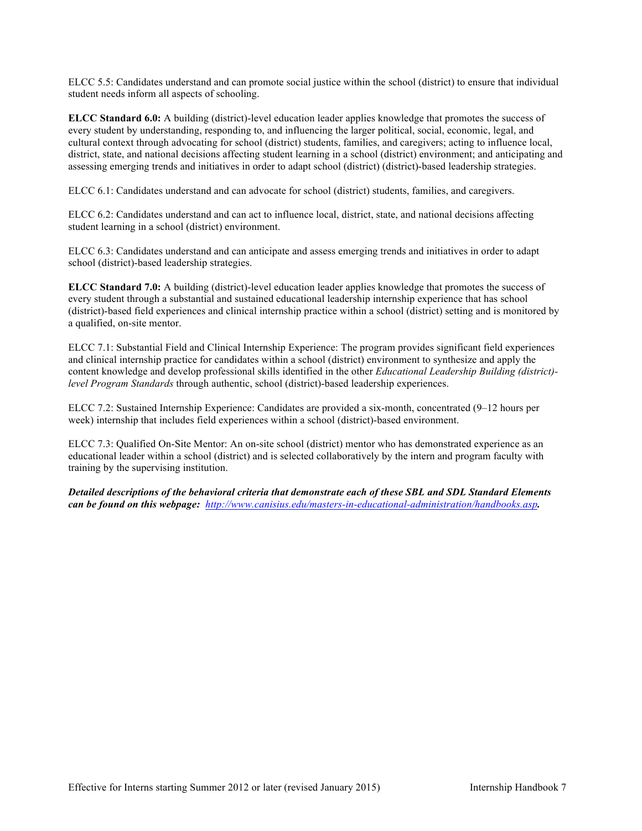ELCC 5.5: Candidates understand and can promote social justice within the school (district) to ensure that individual student needs inform all aspects of schooling.

**ELCC Standard 6.0:** A building (district)-level education leader applies knowledge that promotes the success of every student by understanding, responding to, and influencing the larger political, social, economic, legal, and cultural context through advocating for school (district) students, families, and caregivers; acting to influence local, district, state, and national decisions affecting student learning in a school (district) environment; and anticipating and assessing emerging trends and initiatives in order to adapt school (district) (district)-based leadership strategies.

ELCC 6.1: Candidates understand and can advocate for school (district) students, families, and caregivers.

ELCC 6.2: Candidates understand and can act to influence local, district, state, and national decisions affecting student learning in a school (district) environment.

ELCC 6.3: Candidates understand and can anticipate and assess emerging trends and initiatives in order to adapt school (district)-based leadership strategies.

**ELCC Standard 7.0:** A building (district)-level education leader applies knowledge that promotes the success of every student through a substantial and sustained educational leadership internship experience that has school (district)-based field experiences and clinical internship practice within a school (district) setting and is monitored by a qualified, on-site mentor.

ELCC 7.1: Substantial Field and Clinical Internship Experience: The program provides significant field experiences and clinical internship practice for candidates within a school (district) environment to synthesize and apply the content knowledge and develop professional skills identified in the other *Educational Leadership Building (district) level Program Standards* through authentic, school (district)-based leadership experiences.

ELCC 7.2: Sustained Internship Experience: Candidates are provided a six-month, concentrated (9–12 hours per week) internship that includes field experiences within a school (district)-based environment.

ELCC 7.3: Qualified On-Site Mentor: An on-site school (district) mentor who has demonstrated experience as an educational leader within a school (district) and is selected collaboratively by the intern and program faculty with training by the supervising institution.

*Detailed descriptions of the behavioral criteria that demonstrate each of these SBL and SDL Standard Elements can be found on this webpage: http://www.canisius.edu/masters-in-educational-administration/handbooks.asp.*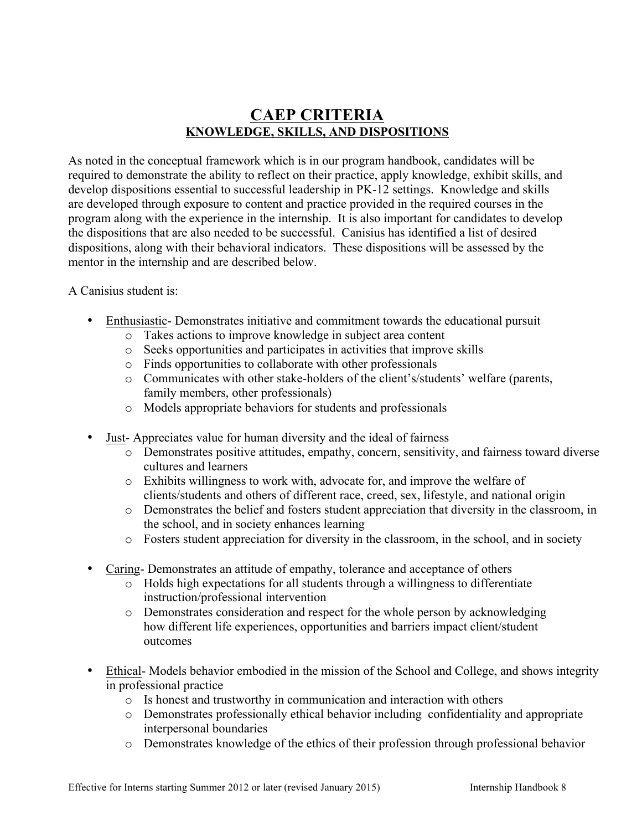## **CAEP CRITERIA KNOWLEDGE, SKILLS, AND DISPOSITIONS**

As noted in the conceptual framework which is in our program handbook, candidates will be required to demonstrate the ability to reflect on their practice, apply knowledge, exhibit skills, and develop dispositions essential to successful leadership in PK-12 settings. Knowledge and skills are developed through exposure to content and practice provided in the required courses in the program along with the experience in the internship. It is also important for candidates to develop the dispositions that are also needed to be successful. Canisius has identified a list of desired dispositions, along with their behavioral indicators. These dispositions will be assessed by the mentor in the internship and are described below.

#### A Canisius student is:

- Enthusiastic- Demonstrates initiative and commitment towards the educational pursuit
	- o Takes actions to improve knowledge in subject area content
	- o Seeks opportunities and participates in activities that improve skills
	- o Finds opportunities to collaborate with other professionals
	- o Communicates with other stake-holders of the client's/students' welfare (parents, family members, other professionals)
	- o Models appropriate behaviors for students and professionals
- Just- Appreciates value for human diversity and the ideal of fairness
	- o Demonstrates positive attitudes, empathy, concern, sensitivity, and fairness toward diverse cultures and learners
	- o Exhibits willingness to work with, advocate for, and improve the welfare of clients/students and others of different race, creed, sex, lifestyle, and national origin
	- o Demonstrates the belief and fosters student appreciation that diversity in the classroom, in the school, and in society enhances learning
	- o Fosters student appreciation for diversity in the classroom, in the school, and in society
- Caring- Demonstrates an attitude of empathy, tolerance and acceptance of others
	- o Holds high expectations for all students through a willingness to differentiate instruction/professional intervention
	- o Demonstrates consideration and respect for the whole person by acknowledging how different life experiences, opportunities and barriers impact client/student outcomes
- Ethical- Models behavior embodied in the mission of the School and College, and shows integrity in professional practice
	- o Is honest and trustworthy in communication and interaction with others
	- o Demonstrates professionally ethical behavior including confidentiality and appropriate interpersonal boundaries
	- o Demonstrates knowledge of the ethics of their profession through professional behavior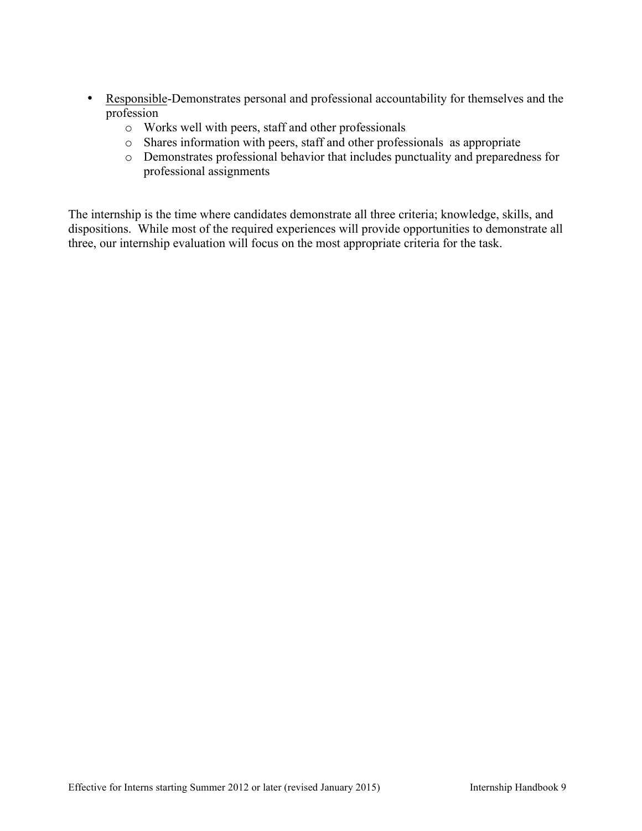- Responsible-Demonstrates personal and professional accountability for themselves and the profession
	- o Works well with peers, staff and other professionals
	- o Shares information with peers, staff and other professionals as appropriate
	- o Demonstrates professional behavior that includes punctuality and preparedness for professional assignments

The internship is the time where candidates demonstrate all three criteria; knowledge, skills, and dispositions. While most of the required experiences will provide opportunities to demonstrate all three, our internship evaluation will focus on the most appropriate criteria for the task.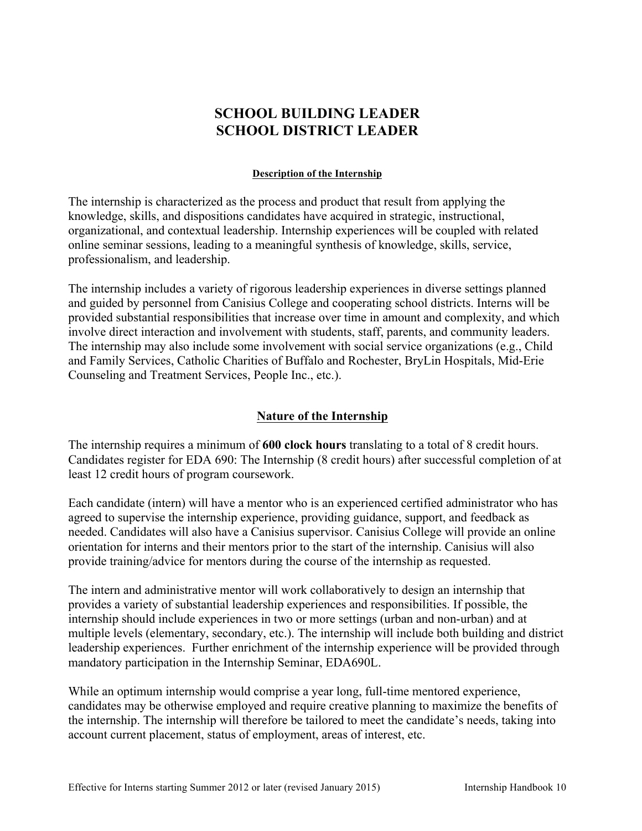## **SCHOOL BUILDING LEADER SCHOOL DISTRICT LEADER**

#### **Description of the Internship**

The internship is characterized as the process and product that result from applying the knowledge, skills, and dispositions candidates have acquired in strategic, instructional, organizational, and contextual leadership. Internship experiences will be coupled with related online seminar sessions, leading to a meaningful synthesis of knowledge, skills, service, professionalism, and leadership.

The internship includes a variety of rigorous leadership experiences in diverse settings planned and guided by personnel from Canisius College and cooperating school districts. Interns will be provided substantial responsibilities that increase over time in amount and complexity, and which involve direct interaction and involvement with students, staff, parents, and community leaders. The internship may also include some involvement with social service organizations (e.g., Child and Family Services, Catholic Charities of Buffalo and Rochester, BryLin Hospitals, Mid-Erie Counseling and Treatment Services, People Inc., etc.).

#### **Nature of the Internship**

The internship requires a minimum of **600 clock hours** translating to a total of 8 credit hours. Candidates register for EDA 690: The Internship (8 credit hours) after successful completion of at least 12 credit hours of program coursework.

Each candidate (intern) will have a mentor who is an experienced certified administrator who has agreed to supervise the internship experience, providing guidance, support, and feedback as needed. Candidates will also have a Canisius supervisor. Canisius College will provide an online orientation for interns and their mentors prior to the start of the internship. Canisius will also provide training/advice for mentors during the course of the internship as requested.

The intern and administrative mentor will work collaboratively to design an internship that provides a variety of substantial leadership experiences and responsibilities. If possible, the internship should include experiences in two or more settings (urban and non-urban) and at multiple levels (elementary, secondary, etc.). The internship will include both building and district leadership experiences. Further enrichment of the internship experience will be provided through mandatory participation in the Internship Seminar, EDA690L.

While an optimum internship would comprise a year long, full-time mentored experience, candidates may be otherwise employed and require creative planning to maximize the benefits of the internship. The internship will therefore be tailored to meet the candidate's needs, taking into account current placement, status of employment, areas of interest, etc.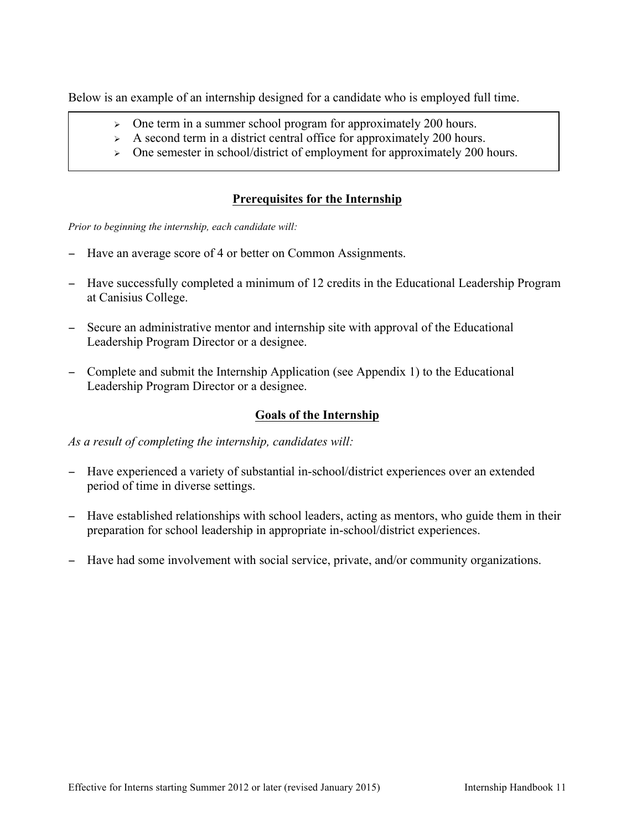Below is an example of an internship designed for a candidate who is employed full time.

- $\geq$  One term in a summer school program for approximately 200 hours.
- $\triangleright$  A second term in a district central office for approximately 200 hours.
- $\geq$  One semester in school/district of employment for approximately 200 hours.

## **Prerequisites for the Internship**

*Prior to beginning the internship, each candidate will:*

- − Have an average score of 4 or better on Common Assignments.
- − Have successfully completed a minimum of 12 credits in the Educational Leadership Program at Canisius College.
- − Secure an administrative mentor and internship site with approval of the Educational Leadership Program Director or a designee.
- − Complete and submit the Internship Application (see Appendix 1) to the Educational Leadership Program Director or a designee.

#### **Goals of the Internship**

*As a result of completing the internship, candidates will:*

- − Have experienced a variety of substantial in-school/district experiences over an extended period of time in diverse settings.
- − Have established relationships with school leaders, acting as mentors, who guide them in their preparation for school leadership in appropriate in-school/district experiences.
- − Have had some involvement with social service, private, and/or community organizations.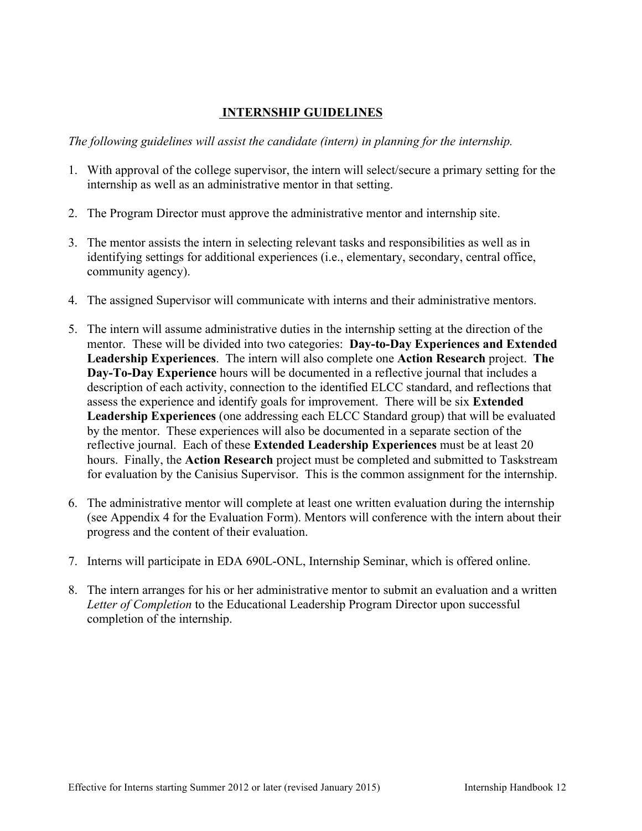#### **INTERNSHIP GUIDELINES**

*The following guidelines will assist the candidate (intern) in planning for the internship.*

- 1. With approval of the college supervisor, the intern will select/secure a primary setting for the internship as well as an administrative mentor in that setting.
- 2. The Program Director must approve the administrative mentor and internship site.
- 3. The mentor assists the intern in selecting relevant tasks and responsibilities as well as in identifying settings for additional experiences (i.e., elementary, secondary, central office, community agency).
- 4. The assigned Supervisor will communicate with interns and their administrative mentors.
- 5. The intern will assume administrative duties in the internship setting at the direction of the mentor. These will be divided into two categories: **Day-to-Day Experiences and Extended Leadership Experiences**. The intern will also complete one **Action Research** project. **The Day-To-Day Experience** hours will be documented in a reflective journal that includes a description of each activity, connection to the identified ELCC standard, and reflections that assess the experience and identify goals for improvement. There will be six **Extended Leadership Experiences** (one addressing each ELCC Standard group) that will be evaluated by the mentor. These experiences will also be documented in a separate section of the reflective journal. Each of these **Extended Leadership Experiences** must be at least 20 hours. Finally, the **Action Research** project must be completed and submitted to Taskstream for evaluation by the Canisius Supervisor. This is the common assignment for the internship.
- 6. The administrative mentor will complete at least one written evaluation during the internship (see Appendix 4 for the Evaluation Form). Mentors will conference with the intern about their progress and the content of their evaluation.
- 7. Interns will participate in EDA 690L-ONL, Internship Seminar, which is offered online.
- 8. The intern arranges for his or her administrative mentor to submit an evaluation and a written *Letter of Completion* to the Educational Leadership Program Director upon successful completion of the internship.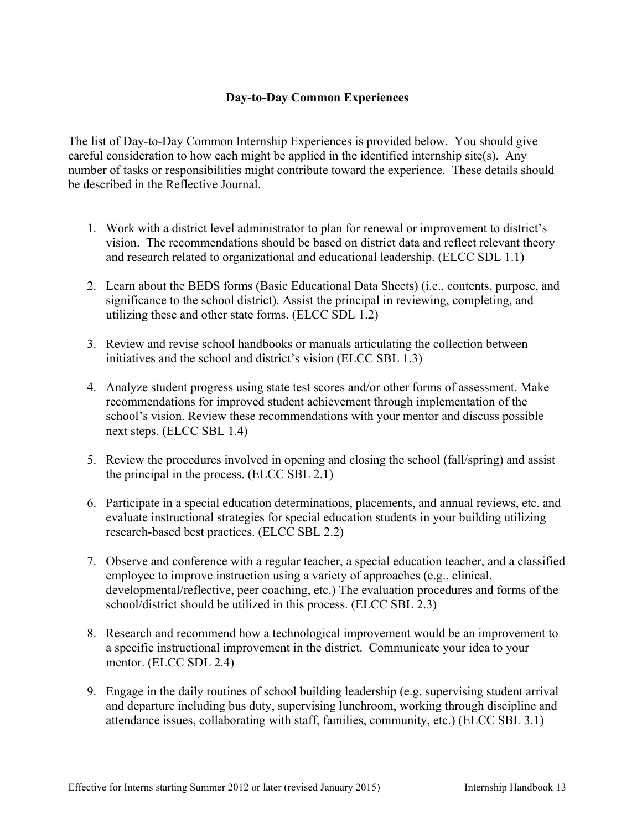#### **Day-to-Day Common Experiences**

The list of Day-to-Day Common Internship Experiences is provided below. You should give careful consideration to how each might be applied in the identified internship site(s). Any number of tasks or responsibilities might contribute toward the experience. These details should be described in the Reflective Journal.

- 1. Work with a district level administrator to plan for renewal or improvement to district's vision. The recommendations should be based on district data and reflect relevant theory and research related to organizational and educational leadership. (ELCC SDL 1.1)
- 2. Learn about the BEDS forms (Basic Educational Data Sheets) (i.e., contents, purpose, and significance to the school district). Assist the principal in reviewing, completing, and utilizing these and other state forms. (ELCC SDL 1.2)
- 3. Review and revise school handbooks or manuals articulating the collection between initiatives and the school and district's vision (ELCC SBL 1.3)
- 4. Analyze student progress using state test scores and/or other forms of assessment. Make recommendations for improved student achievement through implementation of the school's vision. Review these recommendations with your mentor and discuss possible next steps. (ELCC SBL 1.4)
- 5. Review the procedures involved in opening and closing the school (fall/spring) and assist the principal in the process. (ELCC SBL 2.1)
- 6. Participate in a special education determinations, placements, and annual reviews, etc. and evaluate instructional strategies for special education students in your building utilizing research-based best practices. (ELCC SBL 2.2)
- 7. Observe and conference with a regular teacher, a special education teacher, and a classified employee to improve instruction using a variety of approaches (e.g., clinical, developmental/reflective, peer coaching, etc.) The evaluation procedures and forms of the school/district should be utilized in this process. (ELCC SBL 2.3)
- 8. Research and recommend how a technological improvement would be an improvement to a specific instructional improvement in the district. Communicate your idea to your mentor. (ELCC SDL 2.4)
- 9. Engage in the daily routines of school building leadership (e.g. supervising student arrival and departure including bus duty, supervising lunchroom, working through discipline and attendance issues, collaborating with staff, families, community, etc.) (ELCC SBL 3.1)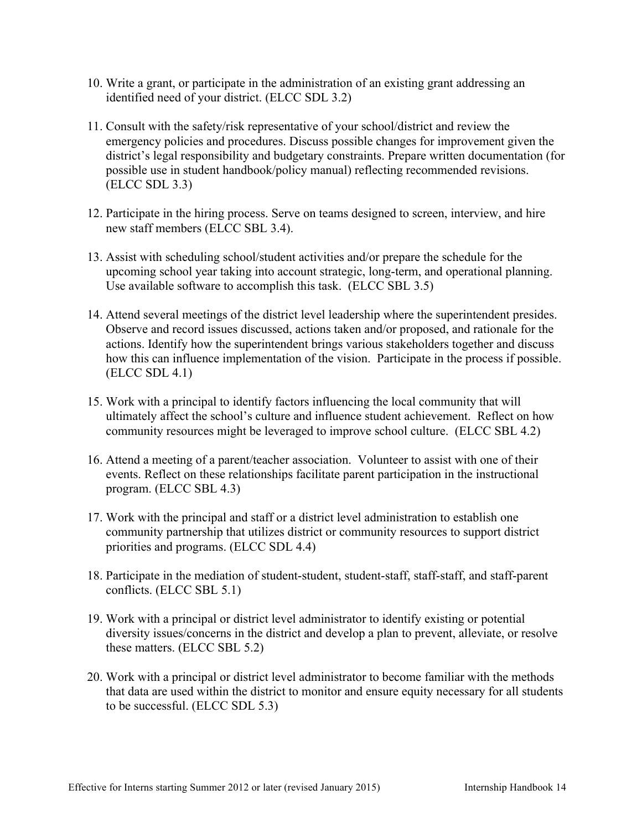- 10. Write a grant, or participate in the administration of an existing grant addressing an identified need of your district. (ELCC SDL 3.2)
- 11. Consult with the safety/risk representative of your school/district and review the emergency policies and procedures. Discuss possible changes for improvement given the district's legal responsibility and budgetary constraints. Prepare written documentation (for possible use in student handbook/policy manual) reflecting recommended revisions. (ELCC SDL 3.3)
- 12. Participate in the hiring process. Serve on teams designed to screen, interview, and hire new staff members (ELCC SBL 3.4).
- 13. Assist with scheduling school/student activities and/or prepare the schedule for the upcoming school year taking into account strategic, long-term, and operational planning. Use available software to accomplish this task. (ELCC SBL 3.5)
- 14. Attend several meetings of the district level leadership where the superintendent presides. Observe and record issues discussed, actions taken and/or proposed, and rationale for the actions. Identify how the superintendent brings various stakeholders together and discuss how this can influence implementation of the vision. Participate in the process if possible. (ELCC SDL 4.1)
- 15. Work with a principal to identify factors influencing the local community that will ultimately affect the school's culture and influence student achievement. Reflect on how community resources might be leveraged to improve school culture. (ELCC SBL 4.2)
- 16. Attend a meeting of a parent/teacher association. Volunteer to assist with one of their events. Reflect on these relationships facilitate parent participation in the instructional program. (ELCC SBL 4.3)
- 17. Work with the principal and staff or a district level administration to establish one community partnership that utilizes district or community resources to support district priorities and programs. (ELCC SDL 4.4)
- 18. Participate in the mediation of student-student, student-staff, staff-staff, and staff-parent conflicts. (ELCC SBL 5.1)
- 19. Work with a principal or district level administrator to identify existing or potential diversity issues/concerns in the district and develop a plan to prevent, alleviate, or resolve these matters. (ELCC SBL 5.2)
- 20. Work with a principal or district level administrator to become familiar with the methods that data are used within the district to monitor and ensure equity necessary for all students to be successful. (ELCC SDL 5.3)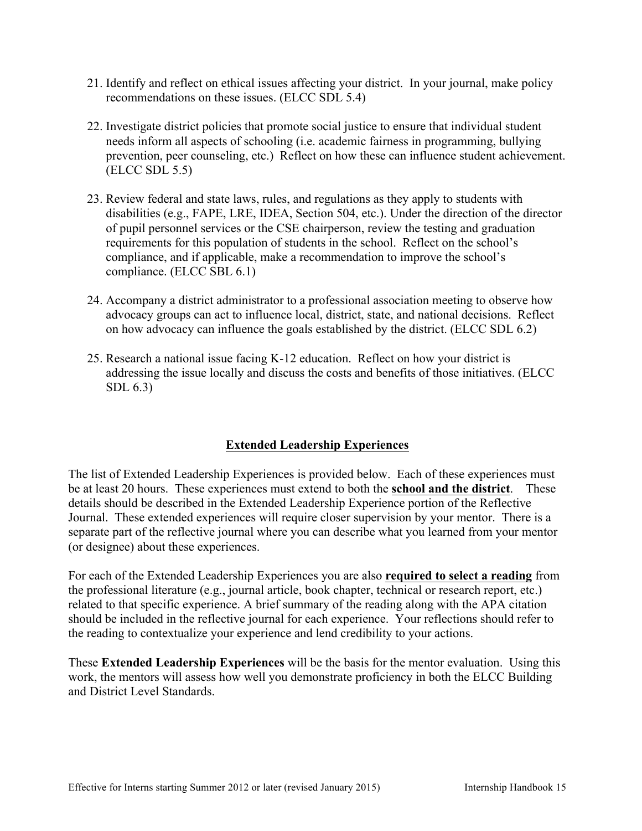- 21. Identify and reflect on ethical issues affecting your district. In your journal, make policy recommendations on these issues. (ELCC SDL 5.4)
- 22. Investigate district policies that promote social justice to ensure that individual student needs inform all aspects of schooling (i.e. academic fairness in programming, bullying prevention, peer counseling, etc.) Reflect on how these can influence student achievement. (ELCC SDL 5.5)
- 23. Review federal and state laws, rules, and regulations as they apply to students with disabilities (e.g., FAPE, LRE, IDEA, Section 504, etc.). Under the direction of the director of pupil personnel services or the CSE chairperson, review the testing and graduation requirements for this population of students in the school. Reflect on the school's compliance, and if applicable, make a recommendation to improve the school's compliance. (ELCC SBL 6.1)
- 24. Accompany a district administrator to a professional association meeting to observe how advocacy groups can act to influence local, district, state, and national decisions. Reflect on how advocacy can influence the goals established by the district. (ELCC SDL 6.2)
- 25. Research a national issue facing K-12 education. Reflect on how your district is addressing the issue locally and discuss the costs and benefits of those initiatives. (ELCC SDL 6.3)

## **Extended Leadership Experiences**

The list of Extended Leadership Experiences is provided below. Each of these experiences must be at least 20 hours. These experiences must extend to both the **school and the district**. These details should be described in the Extended Leadership Experience portion of the Reflective Journal. These extended experiences will require closer supervision by your mentor. There is a separate part of the reflective journal where you can describe what you learned from your mentor (or designee) about these experiences.

For each of the Extended Leadership Experiences you are also **required to select a reading** from the professional literature (e.g., journal article, book chapter, technical or research report, etc.) related to that specific experience. A brief summary of the reading along with the APA citation should be included in the reflective journal for each experience. Your reflections should refer to the reading to contextualize your experience and lend credibility to your actions.

These **Extended Leadership Experiences** will be the basis for the mentor evaluation. Using this work, the mentors will assess how well you demonstrate proficiency in both the ELCC Building and District Level Standards.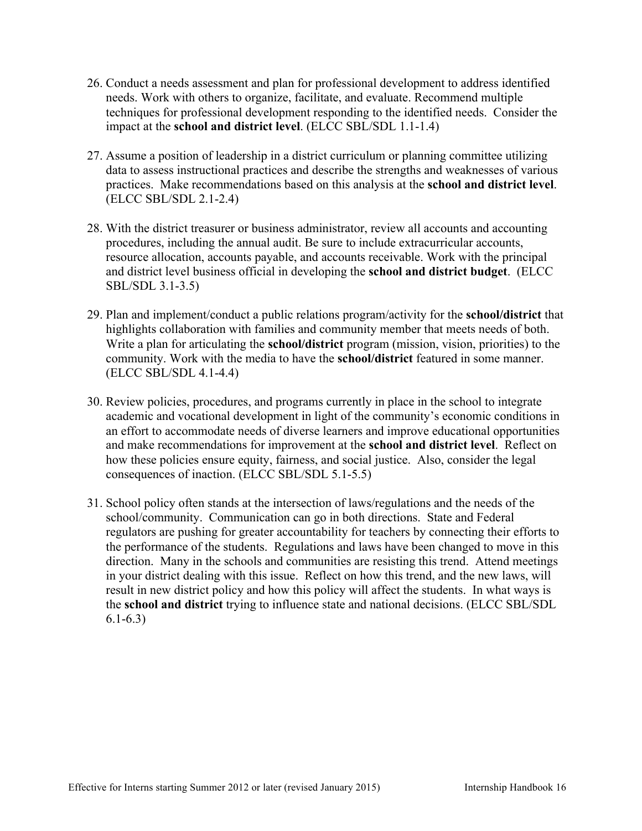- 26. Conduct a needs assessment and plan for professional development to address identified needs. Work with others to organize, facilitate, and evaluate. Recommend multiple techniques for professional development responding to the identified needs. Consider the impact at the **school and district level**. (ELCC SBL/SDL 1.1-1.4)
- 27. Assume a position of leadership in a district curriculum or planning committee utilizing data to assess instructional practices and describe the strengths and weaknesses of various practices. Make recommendations based on this analysis at the **school and district level**. (ELCC SBL/SDL 2.1-2.4)
- 28. With the district treasurer or business administrator, review all accounts and accounting procedures, including the annual audit. Be sure to include extracurricular accounts, resource allocation, accounts payable, and accounts receivable. Work with the principal and district level business official in developing the **school and district budget**. (ELCC SBL/SDL 3.1-3.5)
- 29. Plan and implement/conduct a public relations program/activity for the **school/district** that highlights collaboration with families and community member that meets needs of both. Write a plan for articulating the **school/district** program (mission, vision, priorities) to the community. Work with the media to have the **school/district** featured in some manner. (ELCC SBL/SDL 4.1-4.4)
- 30. Review policies, procedures, and programs currently in place in the school to integrate academic and vocational development in light of the community's economic conditions in an effort to accommodate needs of diverse learners and improve educational opportunities and make recommendations for improvement at the **school and district level**. Reflect on how these policies ensure equity, fairness, and social justice. Also, consider the legal consequences of inaction. (ELCC SBL/SDL 5.1-5.5)
- 31. School policy often stands at the intersection of laws/regulations and the needs of the school/community. Communication can go in both directions. State and Federal regulators are pushing for greater accountability for teachers by connecting their efforts to the performance of the students. Regulations and laws have been changed to move in this direction. Many in the schools and communities are resisting this trend. Attend meetings in your district dealing with this issue. Reflect on how this trend, and the new laws, will result in new district policy and how this policy will affect the students. In what ways is the **school and district** trying to influence state and national decisions. (ELCC SBL/SDL 6.1-6.3)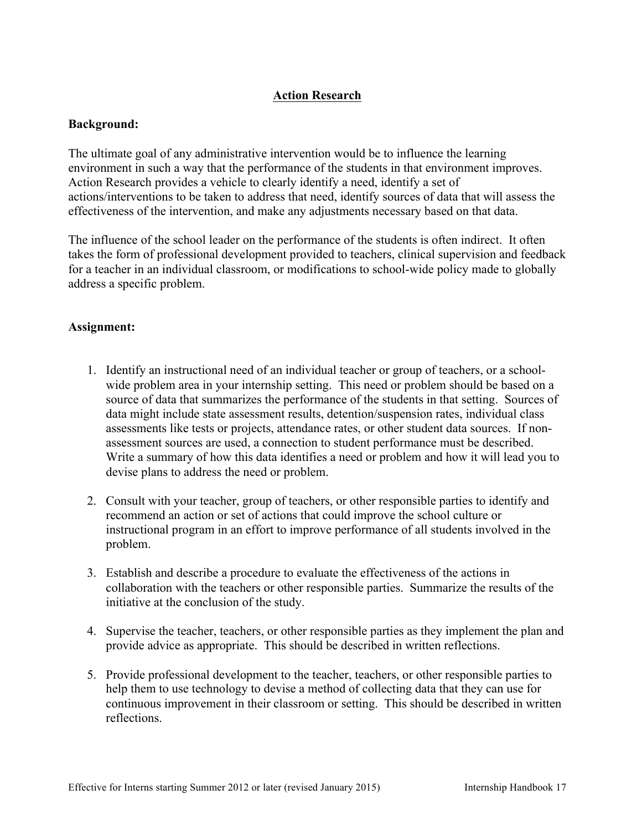#### **Action Research**

#### **Background:**

The ultimate goal of any administrative intervention would be to influence the learning environment in such a way that the performance of the students in that environment improves. Action Research provides a vehicle to clearly identify a need, identify a set of actions/interventions to be taken to address that need, identify sources of data that will assess the effectiveness of the intervention, and make any adjustments necessary based on that data.

The influence of the school leader on the performance of the students is often indirect. It often takes the form of professional development provided to teachers, clinical supervision and feedback for a teacher in an individual classroom, or modifications to school-wide policy made to globally address a specific problem.

#### **Assignment:**

- 1. Identify an instructional need of an individual teacher or group of teachers, or a schoolwide problem area in your internship setting. This need or problem should be based on a source of data that summarizes the performance of the students in that setting. Sources of data might include state assessment results, detention/suspension rates, individual class assessments like tests or projects, attendance rates, or other student data sources. If nonassessment sources are used, a connection to student performance must be described. Write a summary of how this data identifies a need or problem and how it will lead you to devise plans to address the need or problem.
- 2. Consult with your teacher, group of teachers, or other responsible parties to identify and recommend an action or set of actions that could improve the school culture or instructional program in an effort to improve performance of all students involved in the problem.
- 3. Establish and describe a procedure to evaluate the effectiveness of the actions in collaboration with the teachers or other responsible parties. Summarize the results of the initiative at the conclusion of the study.
- 4. Supervise the teacher, teachers, or other responsible parties as they implement the plan and provide advice as appropriate. This should be described in written reflections.
- 5. Provide professional development to the teacher, teachers, or other responsible parties to help them to use technology to devise a method of collecting data that they can use for continuous improvement in their classroom or setting. This should be described in written reflections.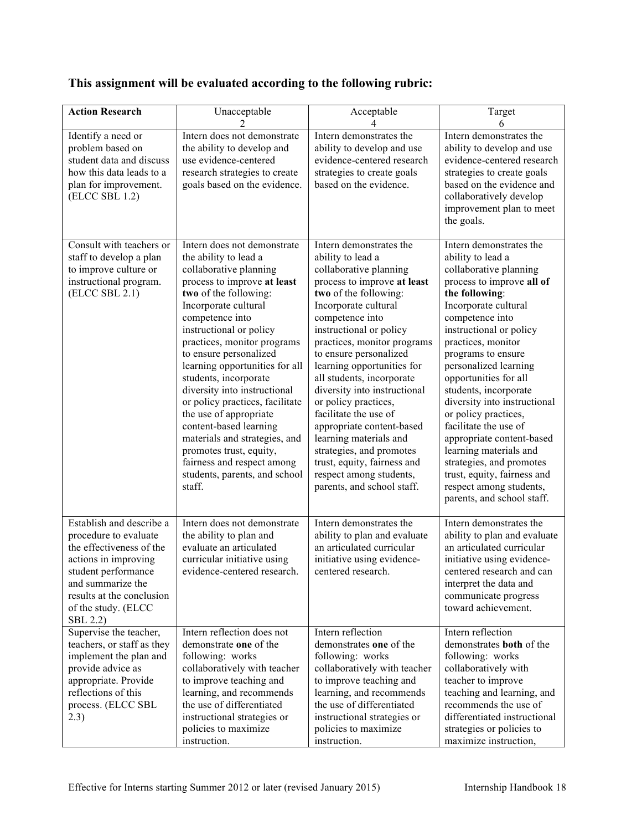# **This assignment will be evaluated according to the following rubric:**

| <b>Action Research</b>                                                                                                                                                                                            | Unacceptable                                                                                                                                                                                                                                                                                                                                                                                                                                                                                                                                                                                 | Acceptable<br>4                                                                                                                                                                                                                                                                                                                                                                                                                                                                                                                                                                      | Target<br>6                                                                                                                                                                                                                                                                                                                                                                                                                                                                                                                                                                    |
|-------------------------------------------------------------------------------------------------------------------------------------------------------------------------------------------------------------------|----------------------------------------------------------------------------------------------------------------------------------------------------------------------------------------------------------------------------------------------------------------------------------------------------------------------------------------------------------------------------------------------------------------------------------------------------------------------------------------------------------------------------------------------------------------------------------------------|--------------------------------------------------------------------------------------------------------------------------------------------------------------------------------------------------------------------------------------------------------------------------------------------------------------------------------------------------------------------------------------------------------------------------------------------------------------------------------------------------------------------------------------------------------------------------------------|--------------------------------------------------------------------------------------------------------------------------------------------------------------------------------------------------------------------------------------------------------------------------------------------------------------------------------------------------------------------------------------------------------------------------------------------------------------------------------------------------------------------------------------------------------------------------------|
| Identify a need or<br>problem based on<br>student data and discuss<br>how this data leads to a<br>plan for improvement.<br>(ELCC SBL 1.2)                                                                         | Intern does not demonstrate<br>the ability to develop and<br>use evidence-centered<br>research strategies to create<br>goals based on the evidence.                                                                                                                                                                                                                                                                                                                                                                                                                                          | Intern demonstrates the<br>ability to develop and use<br>evidence-centered research<br>strategies to create goals<br>based on the evidence.                                                                                                                                                                                                                                                                                                                                                                                                                                          | Intern demonstrates the<br>ability to develop and use<br>evidence-centered research<br>strategies to create goals<br>based on the evidence and<br>collaboratively develop<br>improvement plan to meet<br>the goals.                                                                                                                                                                                                                                                                                                                                                            |
| Consult with teachers or<br>staff to develop a plan<br>to improve culture or<br>instructional program.<br>(ELCC SBL 2.1)                                                                                          | Intern does not demonstrate<br>the ability to lead a<br>collaborative planning<br>process to improve at least<br>two of the following:<br>Incorporate cultural<br>competence into<br>instructional or policy<br>practices, monitor programs<br>to ensure personalized<br>learning opportunities for all<br>students, incorporate<br>diversity into instructional<br>or policy practices, facilitate<br>the use of appropriate<br>content-based learning<br>materials and strategies, and<br>promotes trust, equity,<br>fairness and respect among<br>students, parents, and school<br>staff. | Intern demonstrates the<br>ability to lead a<br>collaborative planning<br>process to improve at least<br>two of the following:<br>Incorporate cultural<br>competence into<br>instructional or policy<br>practices, monitor programs<br>to ensure personalized<br>learning opportunities for<br>all students, incorporate<br>diversity into instructional<br>or policy practices,<br>facilitate the use of<br>appropriate content-based<br>learning materials and<br>strategies, and promotes<br>trust, equity, fairness and<br>respect among students,<br>parents, and school staff. | Intern demonstrates the<br>ability to lead a<br>collaborative planning<br>process to improve all of<br>the following:<br>Incorporate cultural<br>competence into<br>instructional or policy<br>practices, monitor<br>programs to ensure<br>personalized learning<br>opportunities for all<br>students, incorporate<br>diversity into instructional<br>or policy practices,<br>facilitate the use of<br>appropriate content-based<br>learning materials and<br>strategies, and promotes<br>trust, equity, fairness and<br>respect among students,<br>parents, and school staff. |
| Establish and describe a<br>procedure to evaluate<br>the effectiveness of the<br>actions in improving<br>student performance<br>and summarize the<br>results at the conclusion<br>of the study. (ELCC<br>SBL 2.2) | Intern does not demonstrate<br>the ability to plan and<br>evaluate an articulated<br>curricular initiative using<br>evidence-centered research                                                                                                                                                                                                                                                                                                                                                                                                                                               | Intern demonstrates the<br>ability to plan and evaluate<br>an articulated curricular<br>initiative using evidence-<br>centered research.                                                                                                                                                                                                                                                                                                                                                                                                                                             | Intern demonstrates the<br>ability to plan and evaluate<br>an articulated curricular<br>initiative using evidence-<br>centered research and can<br>interpret the data and<br>communicate progress<br>toward achievement.                                                                                                                                                                                                                                                                                                                                                       |
| Supervise the teacher,<br>teachers, or staff as they<br>implement the plan and<br>provide advice as<br>appropriate. Provide<br>reflections of this<br>process. (ELCC SBL<br>2.3)                                  | Intern reflection does not<br>demonstrate one of the<br>following: works<br>collaboratively with teacher<br>to improve teaching and<br>learning, and recommends<br>the use of differentiated<br>instructional strategies or<br>policies to maximize<br>instruction.                                                                                                                                                                                                                                                                                                                          | Intern reflection<br>demonstrates one of the<br>following: works<br>collaboratively with teacher<br>to improve teaching and<br>learning, and recommends<br>the use of differentiated<br>instructional strategies or<br>policies to maximize<br>instruction.                                                                                                                                                                                                                                                                                                                          | Intern reflection<br>demonstrates <b>both</b> of the<br>following: works<br>collaboratively with<br>teacher to improve<br>teaching and learning, and<br>recommends the use of<br>differentiated instructional<br>strategies or policies to<br>maximize instruction,                                                                                                                                                                                                                                                                                                            |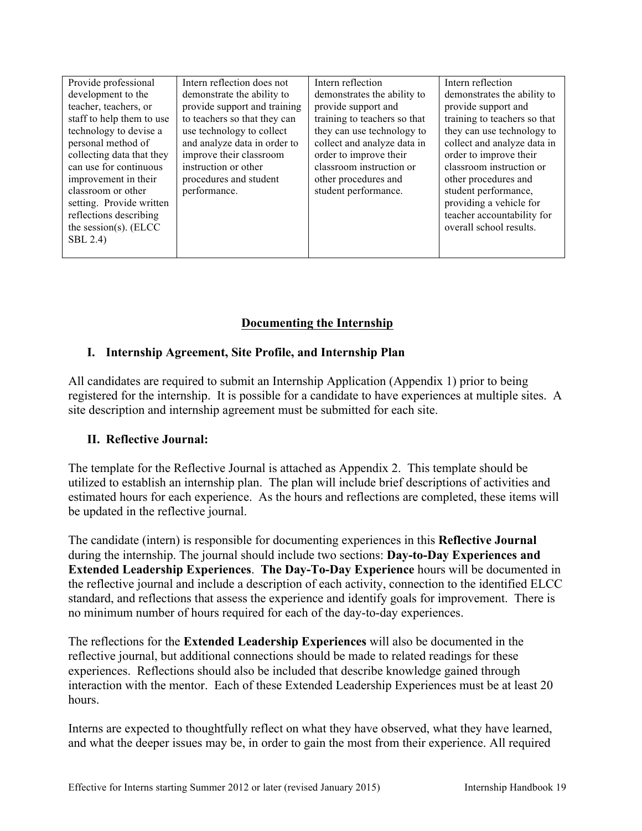| Provide professional      | Intern reflection does not   | Intern reflection            | Intern reflection            |
|---------------------------|------------------------------|------------------------------|------------------------------|
| development to the        | demonstrate the ability to   | demonstrates the ability to  | demonstrates the ability to  |
| teacher, teachers, or     | provide support and training | provide support and          | provide support and          |
| staff to help them to use | to teachers so that they can | training to teachers so that | training to teachers so that |
| technology to devise a    | use technology to collect    | they can use technology to   | they can use technology to   |
| personal method of        | and analyze data in order to | collect and analyze data in  | collect and analyze data in  |
| collecting data that they | improve their classroom      | order to improve their       | order to improve their       |
| can use for continuous    | instruction or other         | classroom instruction or     | classroom instruction or     |
| improvement in their      | procedures and student       | other procedures and         | other procedures and         |
| classroom or other        | performance.                 | student performance.         | student performance,         |
| setting. Provide written  |                              |                              | providing a vehicle for      |
| reflections describing    |                              |                              | teacher accountability for   |
| the session(s). $(ELCC)$  |                              |                              | overall school results.      |
| SBL 2.4)                  |                              |                              |                              |
|                           |                              |                              |                              |

## **Documenting the Internship**

#### **I. Internship Agreement, Site Profile, and Internship Plan**

All candidates are required to submit an Internship Application (Appendix 1) prior to being registered for the internship. It is possible for a candidate to have experiences at multiple sites. A site description and internship agreement must be submitted for each site.

#### **II. Reflective Journal:**

The template for the Reflective Journal is attached as Appendix 2. This template should be utilized to establish an internship plan. The plan will include brief descriptions of activities and estimated hours for each experience. As the hours and reflections are completed, these items will be updated in the reflective journal.

The candidate (intern) is responsible for documenting experiences in this **Reflective Journal** during the internship. The journal should include two sections: **Day-to-Day Experiences and Extended Leadership Experiences**. **The Day-To-Day Experience** hours will be documented in the reflective journal and include a description of each activity, connection to the identified ELCC standard, and reflections that assess the experience and identify goals for improvement. There is no minimum number of hours required for each of the day-to-day experiences.

The reflections for the **Extended Leadership Experiences** will also be documented in the reflective journal, but additional connections should be made to related readings for these experiences. Reflections should also be included that describe knowledge gained through interaction with the mentor. Each of these Extended Leadership Experiences must be at least 20 hours.

Interns are expected to thoughtfully reflect on what they have observed, what they have learned, and what the deeper issues may be, in order to gain the most from their experience. All required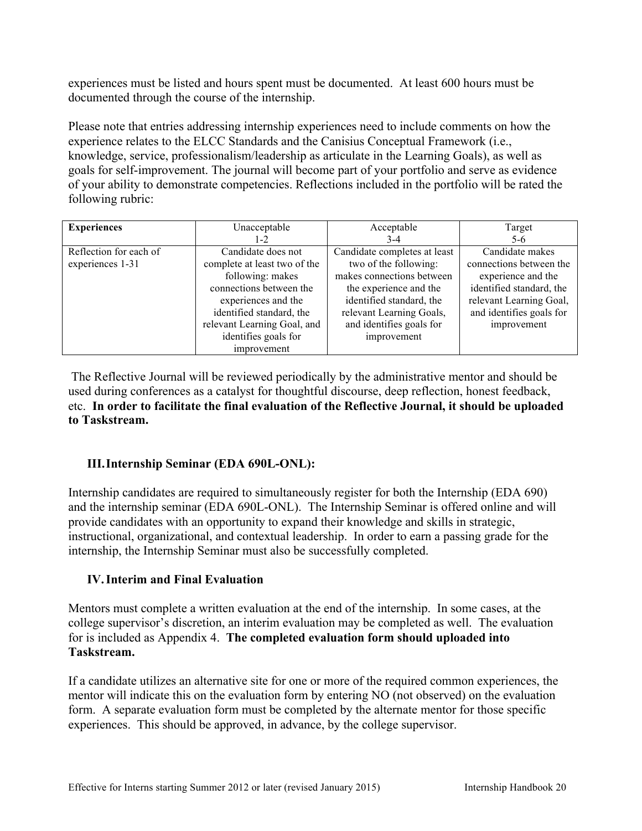experiences must be listed and hours spent must be documented. At least 600 hours must be documented through the course of the internship.

Please note that entries addressing internship experiences need to include comments on how the experience relates to the ELCC Standards and the Canisius Conceptual Framework (i.e., knowledge, service, professionalism/leadership as articulate in the Learning Goals), as well as goals for self-improvement. The journal will become part of your portfolio and serve as evidence of your ability to demonstrate competencies. Reflections included in the portfolio will be rated the following rubric:

| <b>Experiences</b>     | Unacceptable                 | Acceptable                   | Target                   |
|------------------------|------------------------------|------------------------------|--------------------------|
|                        | $1 - 2$                      | $3-4$                        | $5-6$                    |
| Reflection for each of | Candidate does not           | Candidate completes at least | Candidate makes          |
| experiences 1-31       | complete at least two of the | two of the following:        | connections between the  |
|                        | following: makes             | makes connections between    | experience and the       |
|                        | connections between the      | the experience and the       | identified standard, the |
|                        | experiences and the          | identified standard, the     | relevant Learning Goal,  |
|                        | identified standard, the     | relevant Learning Goals,     | and identifies goals for |
|                        | relevant Learning Goal, and  | and identifies goals for     | improvement              |
|                        | identifies goals for         | improvement                  |                          |
|                        | improvement                  |                              |                          |

The Reflective Journal will be reviewed periodically by the administrative mentor and should be used during conferences as a catalyst for thoughtful discourse, deep reflection, honest feedback, etc. **In order to facilitate the final evaluation of the Reflective Journal, it should be uploaded to Taskstream.**

#### **III.Internship Seminar (EDA 690L-ONL):**

Internship candidates are required to simultaneously register for both the Internship (EDA 690) and the internship seminar (EDA 690L-ONL). The Internship Seminar is offered online and will provide candidates with an opportunity to expand their knowledge and skills in strategic, instructional, organizational, and contextual leadership. In order to earn a passing grade for the internship, the Internship Seminar must also be successfully completed.

#### **IV.Interim and Final Evaluation**

Mentors must complete a written evaluation at the end of the internship. In some cases, at the college supervisor's discretion, an interim evaluation may be completed as well. The evaluation for is included as Appendix 4. **The completed evaluation form should uploaded into Taskstream.**

If a candidate utilizes an alternative site for one or more of the required common experiences, the mentor will indicate this on the evaluation form by entering NO (not observed) on the evaluation form. A separate evaluation form must be completed by the alternate mentor for those specific experiences. This should be approved, in advance, by the college supervisor.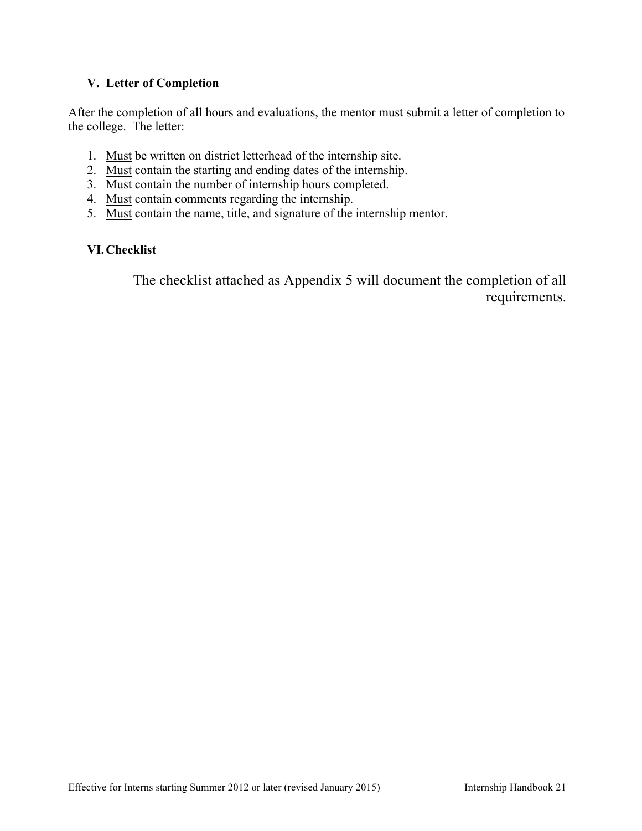#### **V. Letter of Completion**

After the completion of all hours and evaluations, the mentor must submit a letter of completion to the college. The letter:

- 1. Must be written on district letterhead of the internship site.
- 2. Must contain the starting and ending dates of the internship.
- 3. Must contain the number of internship hours completed.
- 4. Must contain comments regarding the internship.
- 5. Must contain the name, title, and signature of the internship mentor.

## **VI.Checklist**

The checklist attached as Appendix 5 will document the completion of all requirements.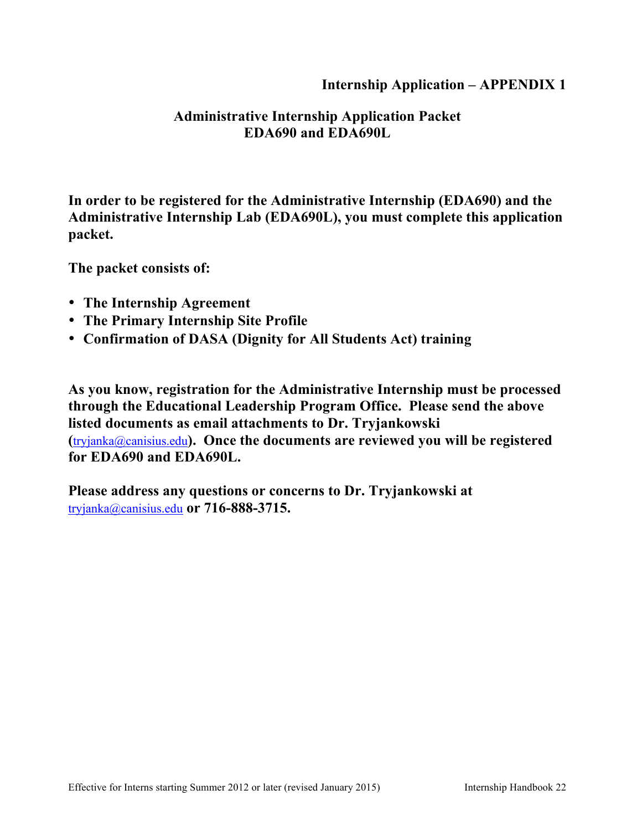**Internship Application – APPENDIX 1**

## **Administrative Internship Application Packet EDA690 and EDA690L**

**In order to be registered for the Administrative Internship (EDA690) and the Administrative Internship Lab (EDA690L), you must complete this application packet.** 

**The packet consists of:**

- **The Internship Agreement**
- **The Primary Internship Site Profile**
- **Confirmation of DASA (Dignity for All Students Act) training**

**As you know, registration for the Administrative Internship must be processed through the Educational Leadership Program Office. Please send the above listed documents as email attachments to Dr. Tryjankowski (**tryjanka@canisius.edu**). Once the documents are reviewed you will be registered for EDA690 and EDA690L.**

**Please address any questions or concerns to Dr. Tryjankowski at**  tryjanka@canisius.edu **or 716-888-3715.**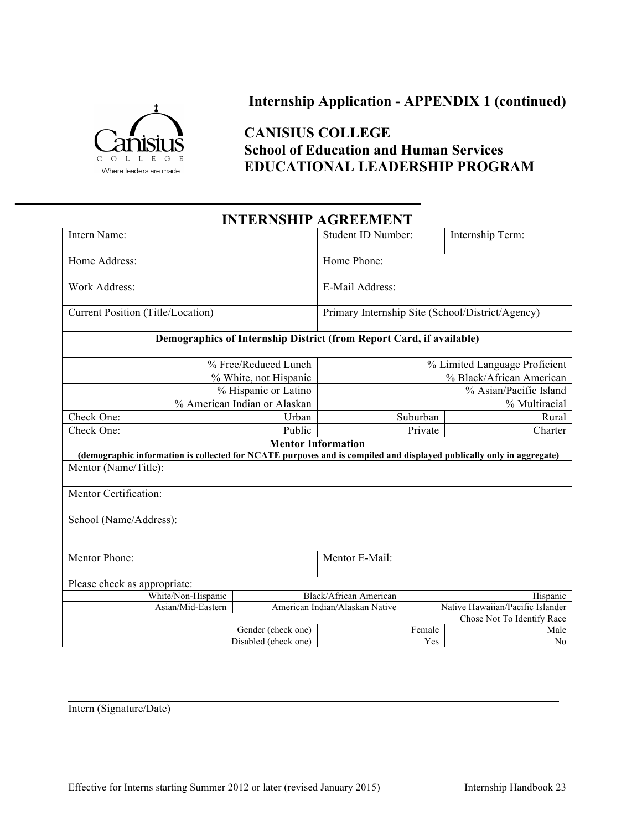

## **Internship Application - APPENDIX 1 (continued)**

## **CANISIUS COLLEGE School of Education and Human Services EDUCATIONAL LEADERSHIP PROGRAM**

## **INTERNSHIP AGREEMENT** Intern Name: Student ID Number: Internship Term: Home Address:  $\blacksquare$  Home Phone: Work Address: E-Mail Address: Current Position (Title/Location) Primary Internship Site (School/District/Agency) **Demographics of Internship District (from Report Card, if available)** % Free/Reduced Lunch |  $\%$  Limited Language Proficient % White, not Hispanic 2008 (% Black/African American % Hispanic or Latino | % Asian/Pacific Island % American Indian or Alaskan % Multiracial Check One: Urban Suburban Rural Check One:  $\qquad$  Public Private Charter **Mentor Information (demographic information is collected for NCATE purposes and is compiled and displayed publically only in aggregate)** Mentor (Name/Title): Mentor Certification: School (Name/Address): Mentor Phone: Mentor E-Mail: Please check as appropriate: White/Non-Hispanic Black/African American Hispanic Hispanic Asian/Mid-Eastern American Indian/Alaskan Native Native Hawaiian/Pacific Islander Chose Not To Identify Race Gender (check one) Female Female Disabled (check one) Yes No

Intern (Signature/Date)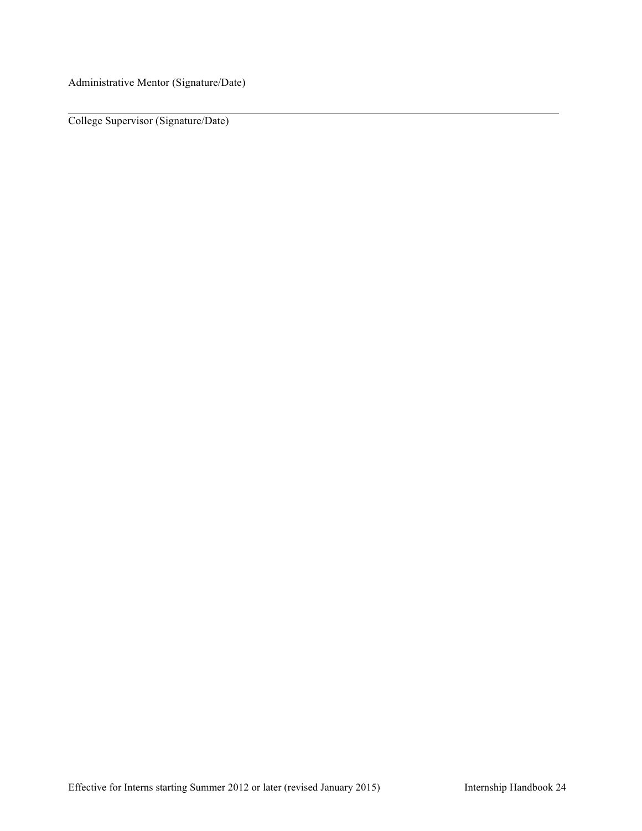Administrative Mentor (Signature/Date)

College Supervisor (Signature/Date)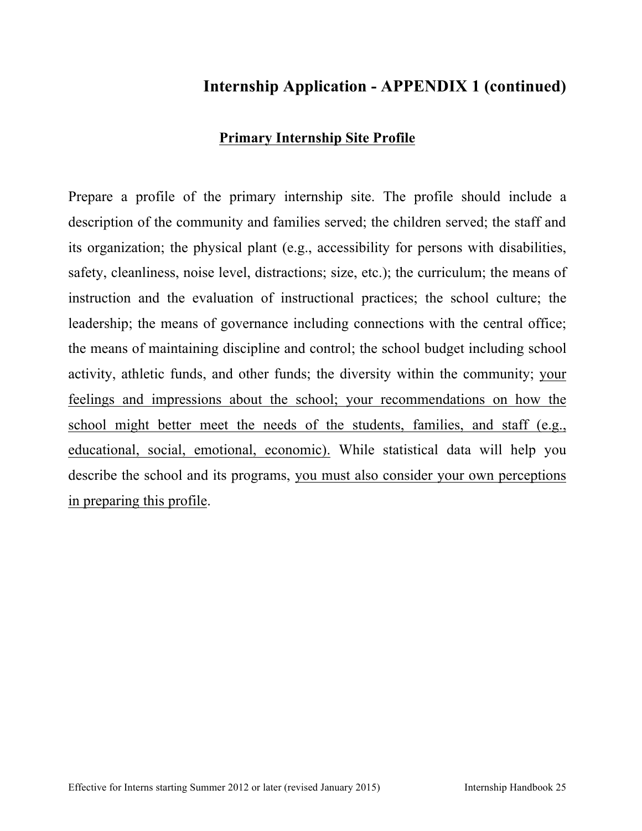# **Internship Application - APPENDIX 1 (continued)**

## **Primary Internship Site Profile**

Prepare a profile of the primary internship site. The profile should include a description of the community and families served; the children served; the staff and its organization; the physical plant (e.g., accessibility for persons with disabilities, safety, cleanliness, noise level, distractions; size, etc.); the curriculum; the means of instruction and the evaluation of instructional practices; the school culture; the leadership; the means of governance including connections with the central office; the means of maintaining discipline and control; the school budget including school activity, athletic funds, and other funds; the diversity within the community; your feelings and impressions about the school; your recommendations on how the school might better meet the needs of the students, families, and staff (e.g., educational, social, emotional, economic). While statistical data will help you describe the school and its programs, you must also consider your own perceptions in preparing this profile.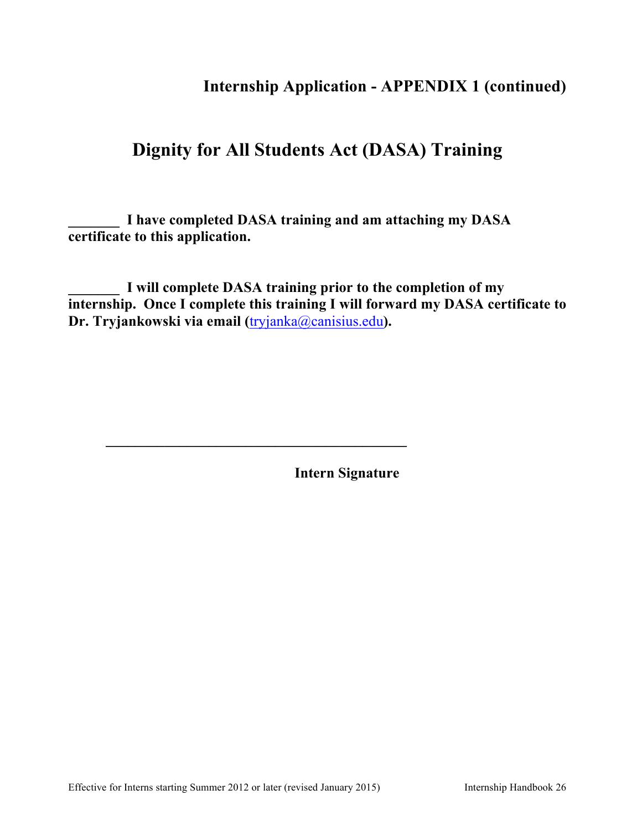**Internship Application - APPENDIX 1 (continued)**

# **Dignity for All Students Act (DASA) Training**

**\_\_\_\_\_\_\_ I have completed DASA training and am attaching my DASA certificate to this application.**

**\_\_\_\_\_\_\_ I will complete DASA training prior to the completion of my internship. Once I complete this training I will forward my DASA certificate to Dr. Tryjankowski via email (**tryjanka@canisius.edu**).** 

**Intern Signature**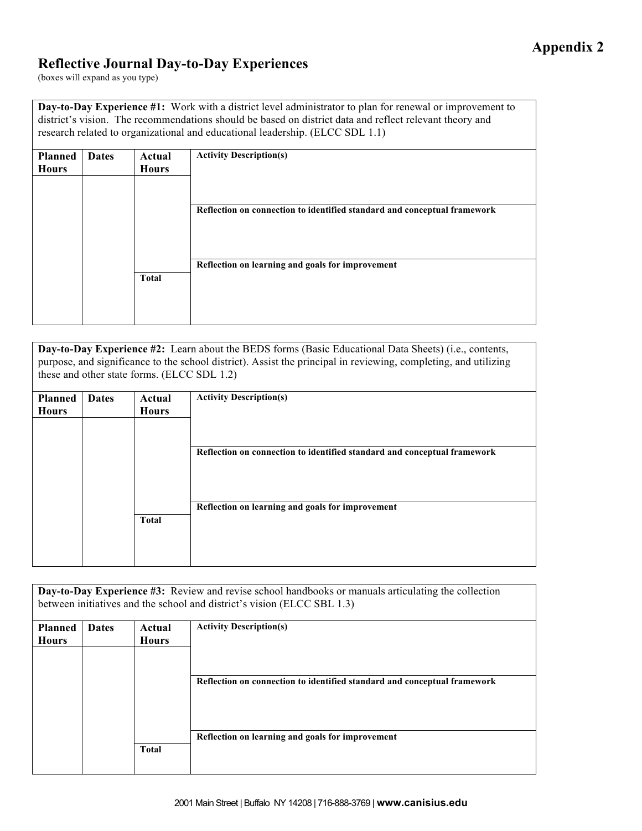## **Appendix 2**

#### **Reflective Journal Day-to-Day Experiences**

(boxes will expand as you type)

**Day-to-Day Experience #1:** Work with a district level administrator to plan for renewal or improvement to district's vision. The recommendations should be based on district data and reflect relevant theory and research related to organizational and educational leadership. (ELCC SDL 1.1)

| <b>Planned</b><br><b>Hours</b> | <b>Dates</b> | Actual<br><b>Hours</b> | <b>Activity Description(s)</b>                                           |
|--------------------------------|--------------|------------------------|--------------------------------------------------------------------------|
|                                |              |                        | Reflection on connection to identified standard and conceptual framework |
|                                |              | Total                  | Reflection on learning and goals for improvement                         |

**Day-to-Day Experience #2:** Learn about the BEDS forms (Basic Educational Data Sheets) (i.e., contents, purpose, and significance to the school district). Assist the principal in reviewing, completing, and utilizing these and other state forms. (ELCC SDL 1.2)

| <b>Planned</b> | <b>Dates</b> | Actual       | <b>Activity Description(s)</b>                                           |
|----------------|--------------|--------------|--------------------------------------------------------------------------|
|                |              |              |                                                                          |
| <b>Hours</b>   |              | <b>Hours</b> |                                                                          |
|                |              |              |                                                                          |
|                |              |              |                                                                          |
|                |              |              |                                                                          |
|                |              |              | Reflection on connection to identified standard and conceptual framework |
|                |              |              |                                                                          |
|                |              |              |                                                                          |
|                |              |              |                                                                          |
|                |              |              |                                                                          |
|                |              |              |                                                                          |
|                |              |              | Reflection on learning and goals for improvement                         |
|                |              |              |                                                                          |
|                |              | Total        |                                                                          |
|                |              |              |                                                                          |
|                |              |              |                                                                          |
|                |              |              |                                                                          |
|                |              |              |                                                                          |
|                |              |              |                                                                          |

|                |              |              | Day-to-Day Experience #3: Review and revise school handbooks or manuals articulating the collection<br>between initiatives and the school and district's vision (ELCC SBL 1.3) |
|----------------|--------------|--------------|--------------------------------------------------------------------------------------------------------------------------------------------------------------------------------|
| <b>Planned</b> | <b>Dates</b> | Actual       | <b>Activity Description(s)</b>                                                                                                                                                 |
| <b>Hours</b>   |              | <b>Hours</b> |                                                                                                                                                                                |
|                |              |              |                                                                                                                                                                                |
|                |              |              |                                                                                                                                                                                |
|                |              |              | Reflection on connection to identified standard and conceptual framework                                                                                                       |
|                |              |              |                                                                                                                                                                                |
|                |              |              |                                                                                                                                                                                |
|                |              |              |                                                                                                                                                                                |
|                |              |              | Reflection on learning and goals for improvement                                                                                                                               |
|                |              | Total        |                                                                                                                                                                                |
|                |              |              |                                                                                                                                                                                |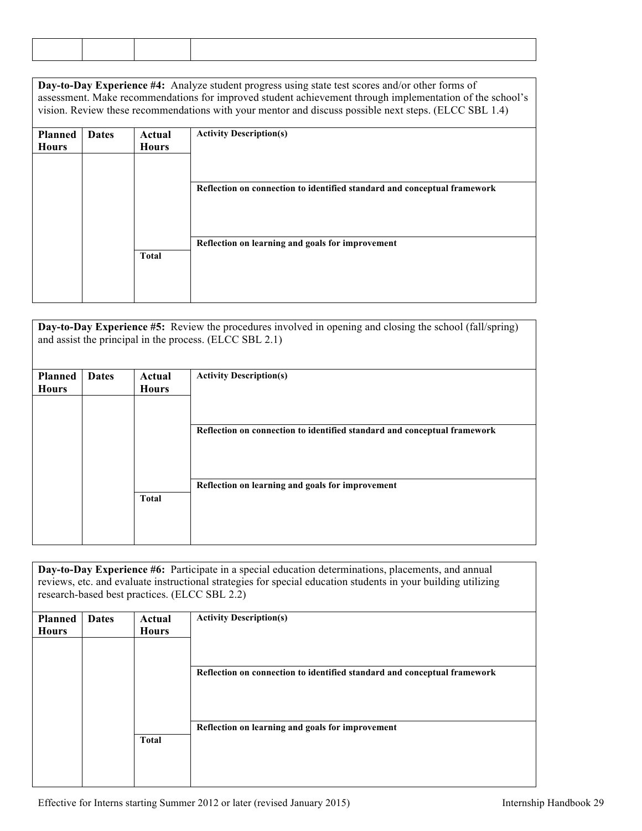**Day-to-Day Experience #4:** Analyze student progress using state test scores and/or other forms of assessment. Make recommendations for improved student achievement through implementation of the school's vision. Review these recommendations with your mentor and discuss possible next steps. (ELCC SBL 1.4)

| <b>Planned</b><br><b>Hours</b> | Actual<br><b>Dates</b><br><b>Hours</b> |              | <b>Activity Description(s)</b>                                           |
|--------------------------------|----------------------------------------|--------------|--------------------------------------------------------------------------|
|                                |                                        |              | Reflection on connection to identified standard and conceptual framework |
|                                |                                        | <b>Total</b> | Reflection on learning and goals for improvement                         |

**Day-to-Day Experience #5:** Review the procedures involved in opening and closing the school (fall/spring) and assist the principal in the process. (ELCC SBL 2.1) **Planned Hours Dates Actual Hours Activity Description(s) Reflection on connection to identified standard and conceptual framework Reflection on learning and goals for improvement Total**

**Day-to-Day Experience #6:** Participate in a special education determinations, placements, and annual reviews, etc. and evaluate instructional strategies for special education students in your building utilizing research-based best practices. (ELCC SBL 2.2)

| Planned<br><b>Hours</b> | <b>Dates</b> | Actual<br><b>Hours</b> | <b>Activity Description(s)</b>                                           |
|-------------------------|--------------|------------------------|--------------------------------------------------------------------------|
|                         |              |                        |                                                                          |
|                         |              |                        | Reflection on connection to identified standard and conceptual framework |
|                         |              | Total                  | Reflection on learning and goals for improvement                         |
|                         |              |                        |                                                                          |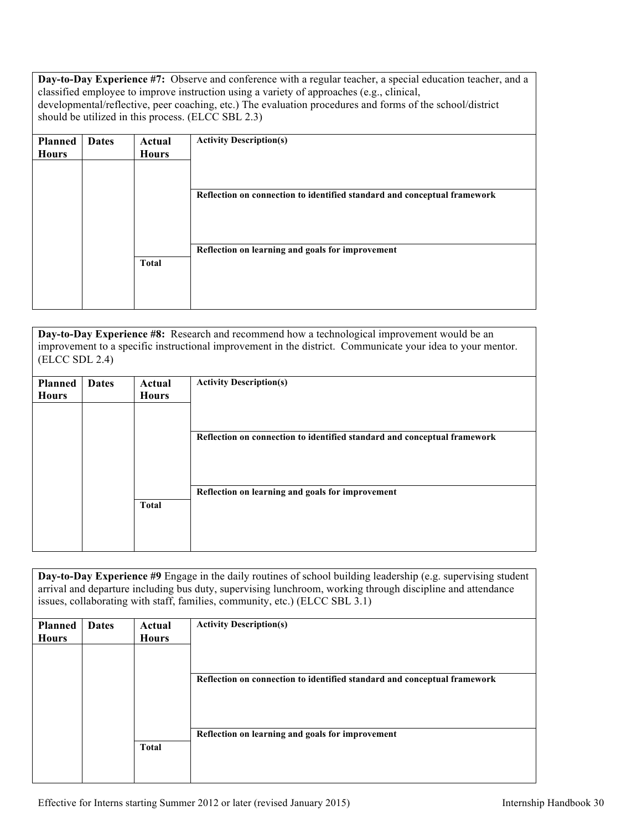**Day-to-Day Experience #7:** Observe and conference with a regular teacher, a special education teacher, and a classified employee to improve instruction using a variety of approaches (e.g., clinical, developmental/reflective, peer coaching, etc.) The evaluation procedures and forms of the school/district should be utilized in this process. (ELCC SBL 2.3)

| Planned<br><b>Hours</b> | <b>Dates</b> | Actual<br><b>Hours</b> | <b>Activity Description(s)</b>                                           |
|-------------------------|--------------|------------------------|--------------------------------------------------------------------------|
|                         |              |                        | Reflection on connection to identified standard and conceptual framework |
|                         |              | <b>Total</b>           | Reflection on learning and goals for improvement                         |

**Day-to-Day Experience #8:** Research and recommend how a technological improvement would be an improvement to a specific instructional improvement in the district. Communicate your idea to your mentor. (ELCC SDL 2.4)

| <b>Planned</b><br><b>Hours</b> | <b>Dates</b><br>Actual<br><b>Hours</b> | <b>Activity Description(s)</b> |                                                                          |
|--------------------------------|----------------------------------------|--------------------------------|--------------------------------------------------------------------------|
|                                |                                        |                                | Reflection on connection to identified standard and conceptual framework |
|                                |                                        | <b>Total</b>                   | Reflection on learning and goals for improvement                         |

| <b>Day-to-Day Experience #9</b> Engage in the daily routines of school building leadership (e.g. supervising student<br>arrival and departure including bus duty, supervising lunchroom, working through discipline and attendance<br>issues, collaborating with staff, families, community, etc.) (ELCC SBL 3.1) |              |              |                                                                          |  |
|-------------------------------------------------------------------------------------------------------------------------------------------------------------------------------------------------------------------------------------------------------------------------------------------------------------------|--------------|--------------|--------------------------------------------------------------------------|--|
| <b>Planned</b>                                                                                                                                                                                                                                                                                                    | <b>Dates</b> | Actual       | <b>Activity Description(s)</b>                                           |  |
| <b>Hours</b>                                                                                                                                                                                                                                                                                                      |              | <b>Hours</b> |                                                                          |  |
|                                                                                                                                                                                                                                                                                                                   |              |              |                                                                          |  |
|                                                                                                                                                                                                                                                                                                                   |              |              |                                                                          |  |
|                                                                                                                                                                                                                                                                                                                   |              |              | Reflection on connection to identified standard and conceptual framework |  |
|                                                                                                                                                                                                                                                                                                                   |              |              |                                                                          |  |
|                                                                                                                                                                                                                                                                                                                   |              |              |                                                                          |  |
|                                                                                                                                                                                                                                                                                                                   |              |              | Reflection on learning and goals for improvement                         |  |
|                                                                                                                                                                                                                                                                                                                   |              | <b>Total</b> |                                                                          |  |
|                                                                                                                                                                                                                                                                                                                   |              |              |                                                                          |  |
|                                                                                                                                                                                                                                                                                                                   |              |              |                                                                          |  |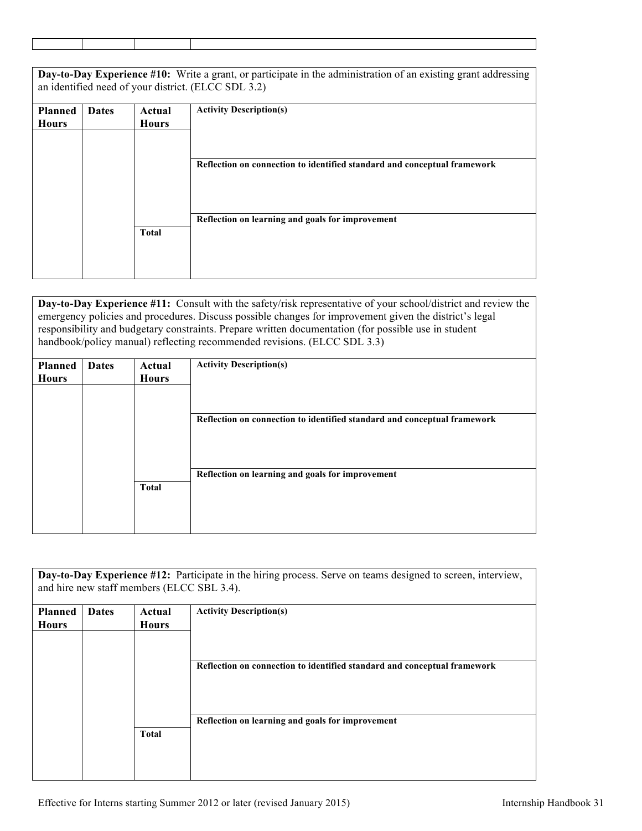**Day-to-Day Experience #10:** Write a grant, or participate in the administration of an existing grant addressing an identified need of your district. (ELCC SDL 3.2)

| <b>Planned</b><br><b>Hours</b> | <b>Dates</b> | Actual<br><b>Hours</b> | <b>Activity Description(s)</b>                                           |
|--------------------------------|--------------|------------------------|--------------------------------------------------------------------------|
|                                |              |                        | Reflection on connection to identified standard and conceptual framework |
|                                |              | <b>Total</b>           | Reflection on learning and goals for improvement                         |

**Day-to-Day Experience #11:** Consult with the safety/risk representative of your school/district and review the emergency policies and procedures. Discuss possible changes for improvement given the district's legal responsibility and budgetary constraints. Prepare written documentation (for possible use in student handbook/policy manual) reflecting recommended revisions. (ELCC SDL 3.3)

| <b>Planned</b><br><b>Hours</b> | <b>Dates</b> | Actual<br><b>Hours</b> | <b>Activity Description(s)</b>                                           |
|--------------------------------|--------------|------------------------|--------------------------------------------------------------------------|
|                                |              |                        | Reflection on connection to identified standard and conceptual framework |
|                                |              | <b>Total</b>           | Reflection on learning and goals for improvement                         |

|                | Day-to-Day Experience #12: Participate in the hiring process. Serve on teams designed to screen, interview,<br>and hire new staff members (ELCC SBL 3.4). |              |                                                                          |  |  |
|----------------|-----------------------------------------------------------------------------------------------------------------------------------------------------------|--------------|--------------------------------------------------------------------------|--|--|
| <b>Planned</b> | <b>Dates</b>                                                                                                                                              | Actual       | <b>Activity Description(s)</b>                                           |  |  |
| <b>Hours</b>   |                                                                                                                                                           | <b>Hours</b> |                                                                          |  |  |
|                |                                                                                                                                                           |              |                                                                          |  |  |
|                |                                                                                                                                                           |              | Reflection on connection to identified standard and conceptual framework |  |  |
|                |                                                                                                                                                           | <b>Total</b> | Reflection on learning and goals for improvement                         |  |  |
|                |                                                                                                                                                           |              |                                                                          |  |  |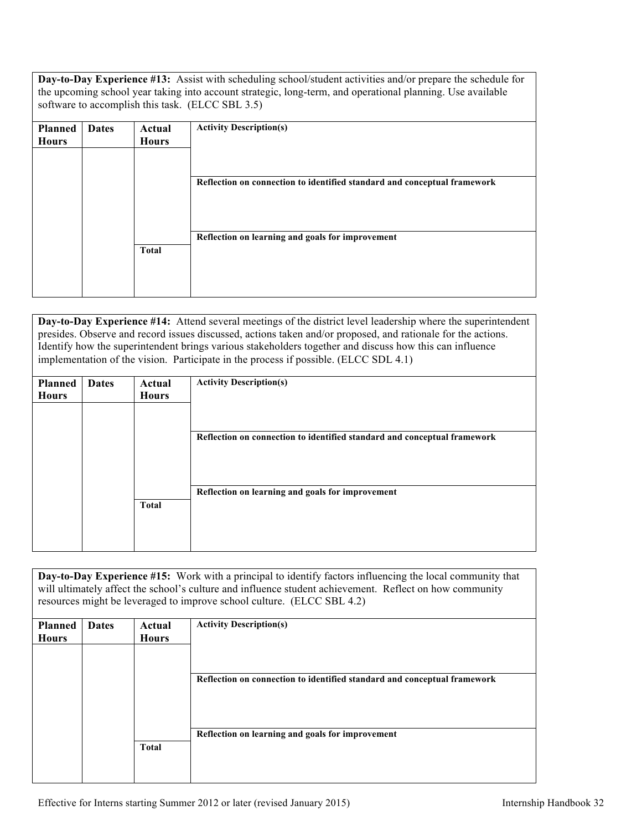**Day-to-Day Experience #13:** Assist with scheduling school/student activities and/or prepare the schedule for the upcoming school year taking into account strategic, long-term, and operational planning. Use available software to accomplish this task. (ELCC SBL 3.5)

| <b>Planned</b><br><b>Hours</b> | <b>Dates</b> | Actual<br><b>Hours</b> | <b>Activity Description(s)</b>                                           |
|--------------------------------|--------------|------------------------|--------------------------------------------------------------------------|
|                                |              |                        | Reflection on connection to identified standard and conceptual framework |
|                                |              | <b>Total</b>           | Reflection on learning and goals for improvement                         |

**Day-to-Day Experience #14:** Attend several meetings of the district level leadership where the superintendent presides. Observe and record issues discussed, actions taken and/or proposed, and rationale for the actions. Identify how the superintendent brings various stakeholders together and discuss how this can influence implementation of the vision. Participate in the process if possible. (ELCC SDL 4.1)

| <b>Planned</b><br><b>Hours</b> | <b>Dates</b> | Actual<br><b>Hours</b> | <b>Activity Description(s)</b>                                           |
|--------------------------------|--------------|------------------------|--------------------------------------------------------------------------|
|                                |              |                        | Reflection on connection to identified standard and conceptual framework |
|                                |              | <b>Total</b>           | Reflection on learning and goals for improvement                         |

| Day-to-Day Experience #15: Work with a principal to identify factors influencing the local community that<br>will ultimately affect the school's culture and influence student achievement. Reflect on how community<br>resources might be leveraged to improve school culture. (ELCC SBL 4.2) |              |              |                                                                          |  |
|------------------------------------------------------------------------------------------------------------------------------------------------------------------------------------------------------------------------------------------------------------------------------------------------|--------------|--------------|--------------------------------------------------------------------------|--|
| <b>Planned</b>                                                                                                                                                                                                                                                                                 | <b>Dates</b> | Actual       | <b>Activity Description(s)</b>                                           |  |
| <b>Hours</b>                                                                                                                                                                                                                                                                                   |              | <b>Hours</b> |                                                                          |  |
|                                                                                                                                                                                                                                                                                                |              |              |                                                                          |  |
|                                                                                                                                                                                                                                                                                                |              |              |                                                                          |  |
|                                                                                                                                                                                                                                                                                                |              |              | Reflection on connection to identified standard and conceptual framework |  |
|                                                                                                                                                                                                                                                                                                |              |              |                                                                          |  |
|                                                                                                                                                                                                                                                                                                |              |              |                                                                          |  |
|                                                                                                                                                                                                                                                                                                |              |              |                                                                          |  |
|                                                                                                                                                                                                                                                                                                |              |              |                                                                          |  |
|                                                                                                                                                                                                                                                                                                |              |              | Reflection on learning and goals for improvement                         |  |
|                                                                                                                                                                                                                                                                                                |              | <b>Total</b> |                                                                          |  |
|                                                                                                                                                                                                                                                                                                |              |              |                                                                          |  |
|                                                                                                                                                                                                                                                                                                |              |              |                                                                          |  |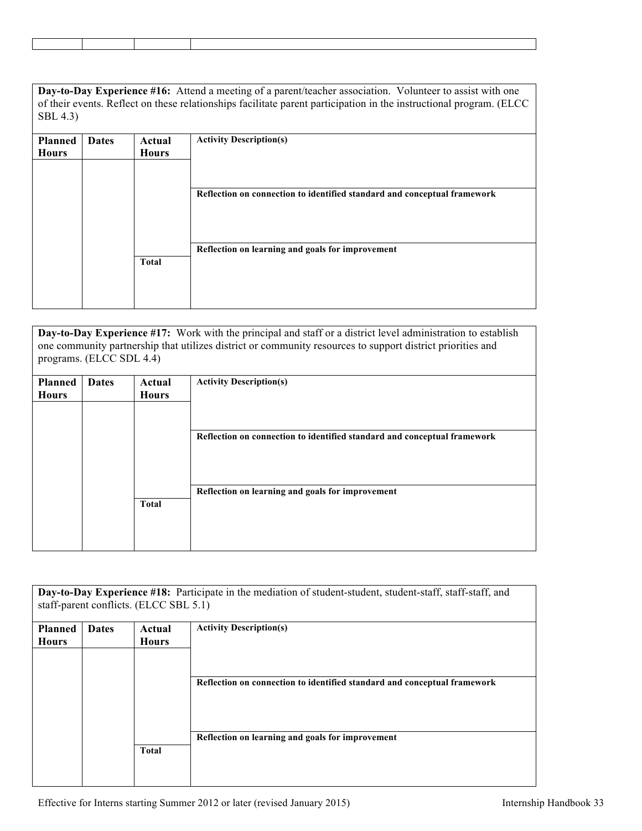| <b>SBL</b> 4.3) |              |              | Day-to-Day Experience #16: Attend a meeting of a parent/teacher association. Volunteer to assist with one<br>of their events. Reflect on these relationships facilitate parent participation in the instructional program. (ELCC) |
|-----------------|--------------|--------------|-----------------------------------------------------------------------------------------------------------------------------------------------------------------------------------------------------------------------------------|
| <b>Planned</b>  | <b>Dates</b> | Actual       | <b>Activity Description(s)</b>                                                                                                                                                                                                    |
| <b>Hours</b>    |              | <b>Hours</b> |                                                                                                                                                                                                                                   |
|                 |              |              |                                                                                                                                                                                                                                   |
|                 |              |              | Reflection on connection to identified standard and conceptual framework                                                                                                                                                          |
|                 |              |              | Reflection on learning and goals for improvement                                                                                                                                                                                  |
|                 |              | <b>Total</b> |                                                                                                                                                                                                                                   |

**Day-to-Day Experience #17:** Work with the principal and staff or a district level administration to establish one community partnership that utilizes district or community resources to support district priorities and programs. (ELCC SDL 4.4)

| <b>Planned</b><br><b>Hours</b> | <b>Dates</b> | Actual<br><b>Hours</b> | <b>Activity Description(s)</b>                                           |
|--------------------------------|--------------|------------------------|--------------------------------------------------------------------------|
|                                |              |                        | Reflection on connection to identified standard and conceptual framework |
|                                |              | <b>Total</b>           | Reflection on learning and goals for improvement                         |
|                                |              |                        |                                                                          |

| Day-to-Day Experience #18: Participate in the mediation of student-student, student-staff, staff-staff, and<br>staff-parent conflicts. (ELCC SBL 5.1) |              |              |                                                                          |  |
|-------------------------------------------------------------------------------------------------------------------------------------------------------|--------------|--------------|--------------------------------------------------------------------------|--|
| <b>Planned</b>                                                                                                                                        | <b>Dates</b> | Actual       | <b>Activity Description(s)</b>                                           |  |
| <b>Hours</b>                                                                                                                                          |              | <b>Hours</b> |                                                                          |  |
|                                                                                                                                                       |              |              |                                                                          |  |
|                                                                                                                                                       |              |              |                                                                          |  |
|                                                                                                                                                       |              |              | Reflection on connection to identified standard and conceptual framework |  |
|                                                                                                                                                       |              |              | Reflection on learning and goals for improvement                         |  |
|                                                                                                                                                       |              | <b>Total</b> |                                                                          |  |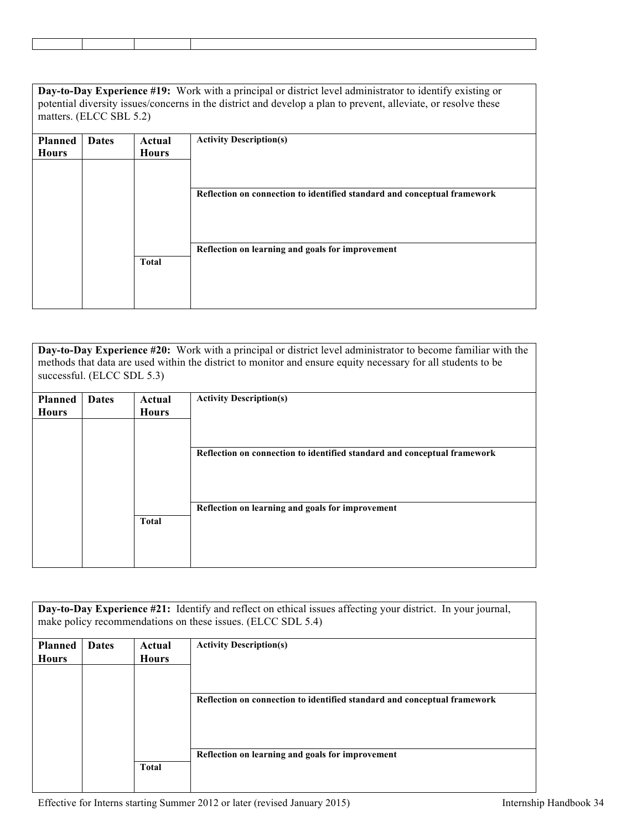| Day-to-Day Experience #19: Work with a principal or district level administrator to identify existing or<br>potential diversity issues/concerns in the district and develop a plan to prevent, alleviate, or resolve these<br>matters. (ELCC SBL 5.2) |              |              |                                                                          |  |
|-------------------------------------------------------------------------------------------------------------------------------------------------------------------------------------------------------------------------------------------------------|--------------|--------------|--------------------------------------------------------------------------|--|
| <b>Planned</b>                                                                                                                                                                                                                                        | <b>Dates</b> | Actual       | <b>Activity Description(s)</b>                                           |  |
| <b>Hours</b>                                                                                                                                                                                                                                          |              | <b>Hours</b> |                                                                          |  |
|                                                                                                                                                                                                                                                       |              |              |                                                                          |  |
|                                                                                                                                                                                                                                                       |              |              |                                                                          |  |
|                                                                                                                                                                                                                                                       |              |              |                                                                          |  |
|                                                                                                                                                                                                                                                       |              |              | Reflection on connection to identified standard and conceptual framework |  |
|                                                                                                                                                                                                                                                       |              |              |                                                                          |  |
|                                                                                                                                                                                                                                                       |              |              |                                                                          |  |
|                                                                                                                                                                                                                                                       |              |              |                                                                          |  |
|                                                                                                                                                                                                                                                       |              |              |                                                                          |  |
|                                                                                                                                                                                                                                                       |              |              | Reflection on learning and goals for improvement                         |  |
|                                                                                                                                                                                                                                                       |              | <b>Total</b> |                                                                          |  |
|                                                                                                                                                                                                                                                       |              |              |                                                                          |  |
|                                                                                                                                                                                                                                                       |              |              |                                                                          |  |
|                                                                                                                                                                                                                                                       |              |              |                                                                          |  |
|                                                                                                                                                                                                                                                       |              |              |                                                                          |  |

|                | successful. (ELCC SDL 5.3) |              | Day-to-Day Experience #20: Work with a principal or district level administrator to become familiar with the<br>methods that data are used within the district to monitor and ensure equity necessary for all students to be |
|----------------|----------------------------|--------------|------------------------------------------------------------------------------------------------------------------------------------------------------------------------------------------------------------------------------|
| <b>Planned</b> | <b>Dates</b>               | Actual       | <b>Activity Description(s)</b>                                                                                                                                                                                               |
|                |                            |              |                                                                                                                                                                                                                              |
| <b>Hours</b>   |                            | <b>Hours</b> |                                                                                                                                                                                                                              |
|                |                            |              |                                                                                                                                                                                                                              |
|                |                            |              |                                                                                                                                                                                                                              |
|                |                            |              |                                                                                                                                                                                                                              |
|                |                            |              | Reflection on connection to identified standard and conceptual framework                                                                                                                                                     |
|                |                            |              |                                                                                                                                                                                                                              |
|                |                            |              |                                                                                                                                                                                                                              |
|                |                            |              |                                                                                                                                                                                                                              |
|                |                            |              |                                                                                                                                                                                                                              |
|                |                            |              | Reflection on learning and goals for improvement                                                                                                                                                                             |
|                |                            | <b>Total</b> |                                                                                                                                                                                                                              |
|                |                            |              |                                                                                                                                                                                                                              |
|                |                            |              |                                                                                                                                                                                                                              |
|                |                            |              |                                                                                                                                                                                                                              |
|                |                            |              |                                                                                                                                                                                                                              |
|                |                            |              |                                                                                                                                                                                                                              |

|                |              |              | Day-to-Day Experience #21: Identify and reflect on ethical issues affecting your district. In your journal,<br>make policy recommendations on these issues. (ELCC SDL 5.4) |
|----------------|--------------|--------------|----------------------------------------------------------------------------------------------------------------------------------------------------------------------------|
| <b>Planned</b> | <b>Dates</b> | Actual       | <b>Activity Description(s)</b>                                                                                                                                             |
| <b>Hours</b>   |              | <b>Hours</b> |                                                                                                                                                                            |
|                |              |              |                                                                                                                                                                            |
|                |              |              |                                                                                                                                                                            |
|                |              |              | Reflection on connection to identified standard and conceptual framework                                                                                                   |
|                |              |              |                                                                                                                                                                            |
|                |              |              |                                                                                                                                                                            |
|                |              |              |                                                                                                                                                                            |
|                |              |              | Reflection on learning and goals for improvement                                                                                                                           |
|                |              | <b>Total</b> |                                                                                                                                                                            |
|                |              |              |                                                                                                                                                                            |
|                |              |              |                                                                                                                                                                            |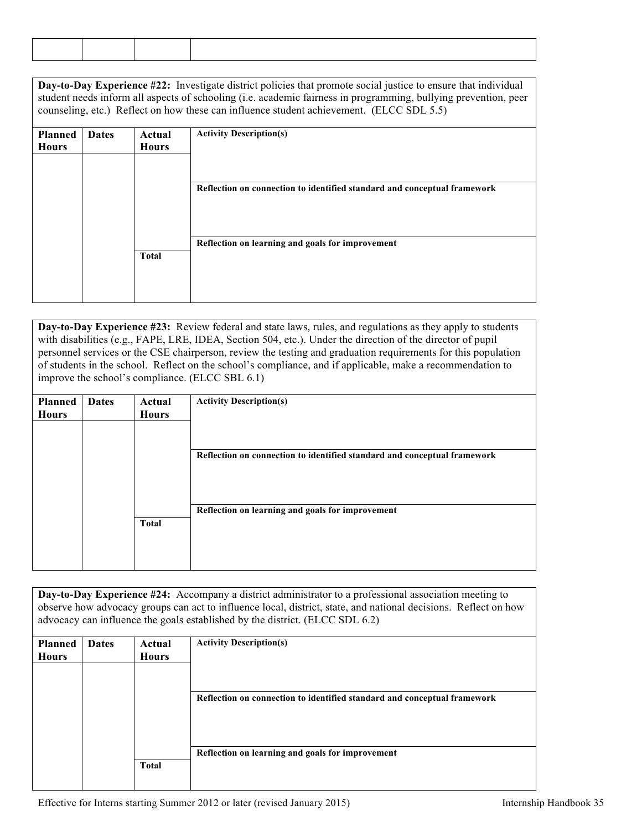**Day-to-Day Experience #22:** Investigate district policies that promote social justice to ensure that individual student needs inform all aspects of schooling (i.e. academic fairness in programming, bullying prevention, peer counseling, etc.) Reflect on how these can influence student achievement. (ELCC SDL 5.5)

| <b>Planned</b><br><b>Hours</b> | <b>Dates</b> | Actual<br><b>Hours</b> | <b>Activity Description(s)</b>                                           |
|--------------------------------|--------------|------------------------|--------------------------------------------------------------------------|
|                                |              |                        | Reflection on connection to identified standard and conceptual framework |
|                                |              | <b>Total</b>           | Reflection on learning and goals for improvement                         |

**Day-to-Day Experience #23:** Review federal and state laws, rules, and regulations as they apply to students with disabilities (e.g., FAPE, LRE, IDEA, Section 504, etc.). Under the direction of the director of pupil personnel services or the CSE chairperson, review the testing and graduation requirements for this population of students in the school. Reflect on the school's compliance, and if applicable, make a recommendation to improve the school's compliance. (ELCC SBL 6.1)

| <b>Planned</b><br><b>Hours</b> | <b>Dates</b> | Actual<br><b>Hours</b> | <b>Activity Description(s)</b>                                           |
|--------------------------------|--------------|------------------------|--------------------------------------------------------------------------|
|                                |              |                        | Reflection on connection to identified standard and conceptual framework |
|                                |              | <b>Total</b>           | Reflection on learning and goals for improvement                         |

| Day-to-Day Experience #24: Accompany a district administrator to a professional association meeting to<br>observe how advocacy groups can act to influence local, district, state, and national decisions. Reflect on how<br>advocacy can influence the goals established by the district. (ELCC SDL 6.2) |              |        |                                                                          |  |
|-----------------------------------------------------------------------------------------------------------------------------------------------------------------------------------------------------------------------------------------------------------------------------------------------------------|--------------|--------|--------------------------------------------------------------------------|--|
| <b>Planned</b>                                                                                                                                                                                                                                                                                            | <b>Dates</b> | Actual | <b>Activity Description(s)</b>                                           |  |
| <b>Hours</b>                                                                                                                                                                                                                                                                                              | <b>Hours</b> |        |                                                                          |  |
|                                                                                                                                                                                                                                                                                                           |              |        |                                                                          |  |
|                                                                                                                                                                                                                                                                                                           |              |        | Reflection on connection to identified standard and conceptual framework |  |
|                                                                                                                                                                                                                                                                                                           |              | Total  | Reflection on learning and goals for improvement                         |  |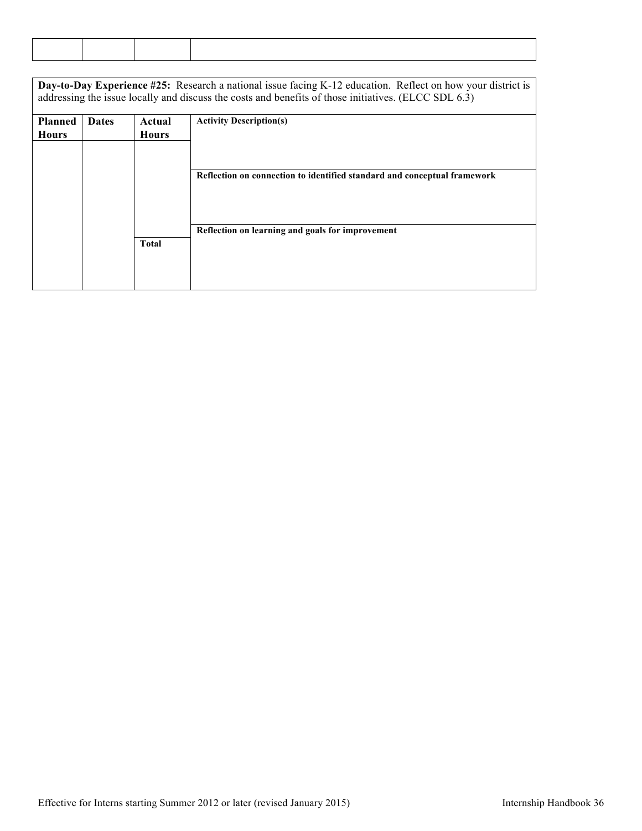| Day-to-Day Experience #25: Research a national issue facing K-12 education. Reflect on how your district is<br>addressing the issue locally and discuss the costs and benefits of those initiatives. (ELCC SDL 6.3) |              |              |                                                                          |  |  |
|---------------------------------------------------------------------------------------------------------------------------------------------------------------------------------------------------------------------|--------------|--------------|--------------------------------------------------------------------------|--|--|
| <b>Planned</b>                                                                                                                                                                                                      | <b>Dates</b> | Actual       | <b>Activity Description(s)</b>                                           |  |  |
| <b>Hours</b>                                                                                                                                                                                                        |              | <b>Hours</b> |                                                                          |  |  |
|                                                                                                                                                                                                                     |              |              |                                                                          |  |  |
|                                                                                                                                                                                                                     |              |              | Reflection on connection to identified standard and conceptual framework |  |  |
|                                                                                                                                                                                                                     |              |              | Reflection on learning and goals for improvement                         |  |  |
|                                                                                                                                                                                                                     |              | <b>Total</b> |                                                                          |  |  |
|                                                                                                                                                                                                                     |              |              |                                                                          |  |  |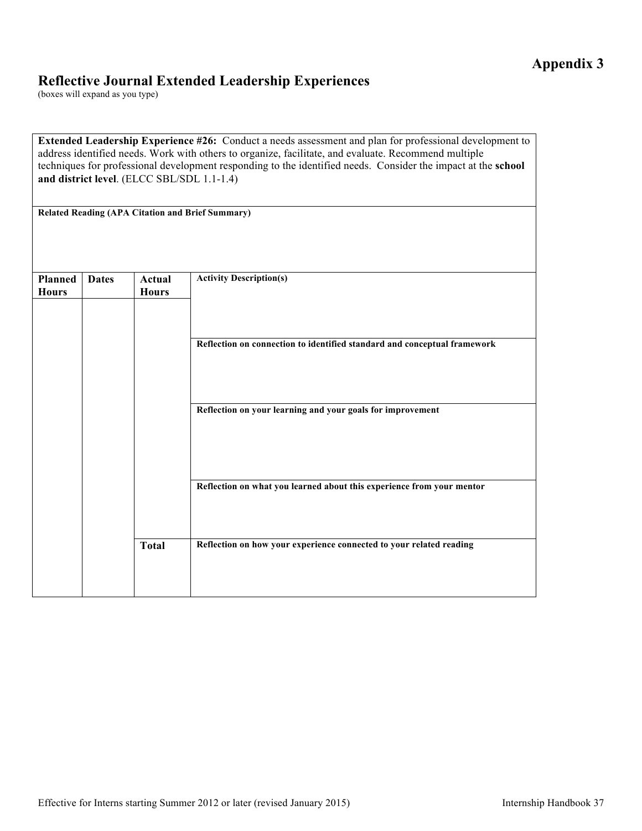## **Appendix 3**

## **Reflective Journal Extended Leadership Experiences**

(boxes will expand as you type)

**Extended Leadership Experience #26:** Conduct a needs assessment and plan for professional development to address identified needs. Work with others to organize, facilitate, and evaluate. Recommend multiple techniques for professional development responding to the identified needs. Consider the impact at the **school and district level**. (ELCC SBL/SDL 1.1-1.4)

| <b>Planned</b><br><b>Hours</b> | <b>Dates</b> | Actual<br><b>Hours</b> | <b>Activity Description(s)</b>                                           |
|--------------------------------|--------------|------------------------|--------------------------------------------------------------------------|
|                                |              |                        | Reflection on connection to identified standard and conceptual framework |
|                                |              |                        | Reflection on your learning and your goals for improvement               |
|                                |              |                        | Reflection on what you learned about this experience from your mentor    |
|                                |              | <b>Total</b>           | Reflection on how your experience connected to your related reading      |
|                                |              |                        |                                                                          |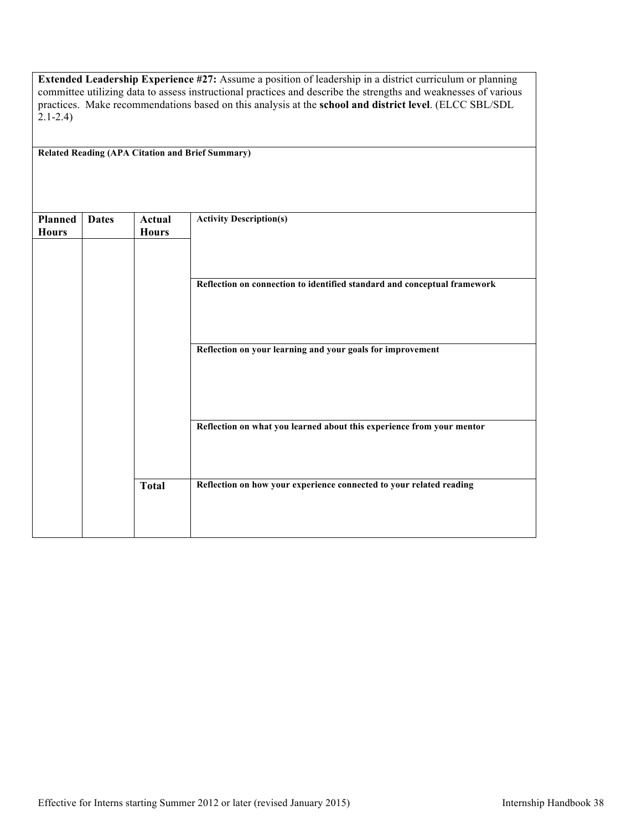**Extended Leadership Experience #27:** Assume a position of leadership in a district curriculum or planning committee utilizing data to assess instructional practices and describe the strengths and weaknesses of various practices. Make recommendations based on this analysis at the **school and district level**. (ELCC SBL/SDL 2.1-2.4)

|                         |              |                        | <b>Related Reading (APA Citation and Brief Summary)</b>                  |
|-------------------------|--------------|------------------------|--------------------------------------------------------------------------|
| Planned<br><b>Hours</b> | <b>Dates</b> | Actual<br><b>Hours</b> | <b>Activity Description(s)</b>                                           |
|                         |              |                        | Reflection on connection to identified standard and conceptual framework |
|                         |              |                        | Reflection on your learning and your goals for improvement               |
|                         |              |                        | Reflection on what you learned about this experience from your mentor    |
|                         |              | <b>Total</b>           | Reflection on how your experience connected to your related reading      |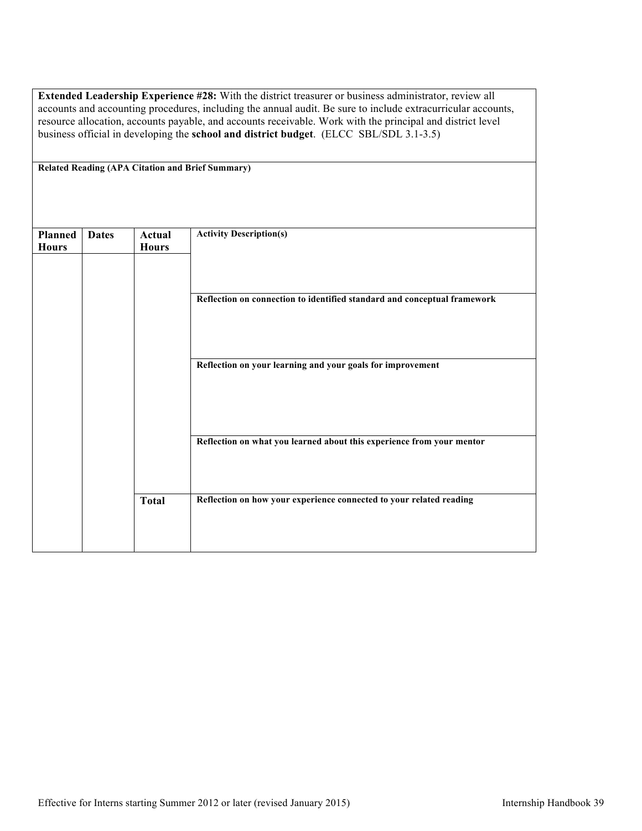**Extended Leadership Experience #28:** With the district treasurer or business administrator, review all accounts and accounting procedures, including the annual audit. Be sure to include extracurricular accounts, resource allocation, accounts payable, and accounts receivable. Work with the principal and district level business official in developing the **school and district budget**. (ELCC SBL/SDL 3.1-3.5)

| <b>Planned</b><br><b>Hours</b> | <b>Dates</b> | Actual<br><b>Hours</b> | <b>Activity Description(s)</b>                                           |
|--------------------------------|--------------|------------------------|--------------------------------------------------------------------------|
|                                |              |                        | Reflection on connection to identified standard and conceptual framework |
|                                |              |                        | Reflection on your learning and your goals for improvement               |
|                                |              |                        | Reflection on what you learned about this experience from your mentor    |
|                                |              | <b>Total</b>           | Reflection on how your experience connected to your related reading      |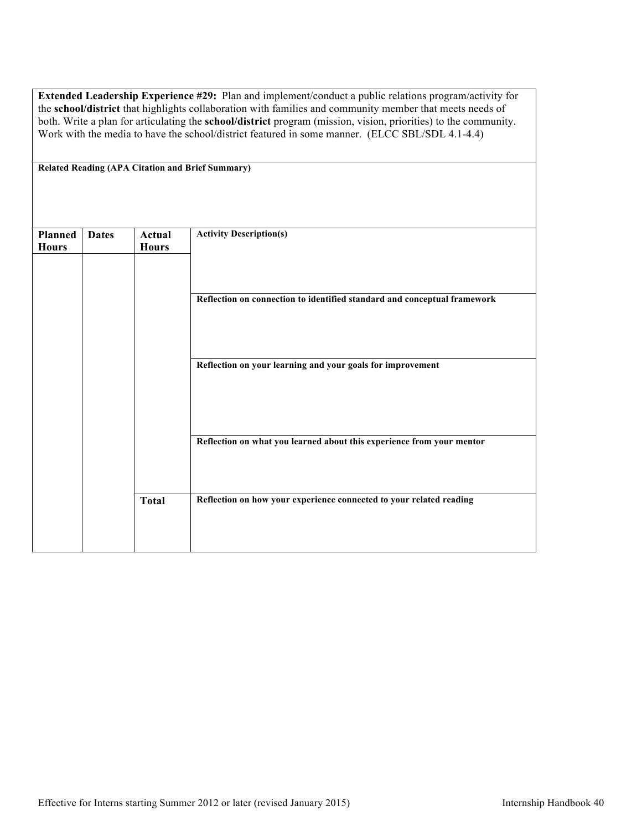**Extended Leadership Experience #29:** Plan and implement/conduct a public relations program/activity for the **school/district** that highlights collaboration with families and community member that meets needs of both. Write a plan for articulating the **school/district** program (mission, vision, priorities) to the community. Work with the media to have the school/district featured in some manner. (ELCC SBL/SDL 4.1-4.4)

| Planned<br><b>Hours</b> | <b>Dates</b> | <b>Actual</b><br><b>Hours</b> | <b>Activity Description(s)</b>                                           |
|-------------------------|--------------|-------------------------------|--------------------------------------------------------------------------|
|                         |              |                               | Reflection on connection to identified standard and conceptual framework |
|                         |              |                               | Reflection on your learning and your goals for improvement               |
|                         |              |                               | Reflection on what you learned about this experience from your mentor    |
|                         |              | <b>Total</b>                  | Reflection on how your experience connected to your related reading      |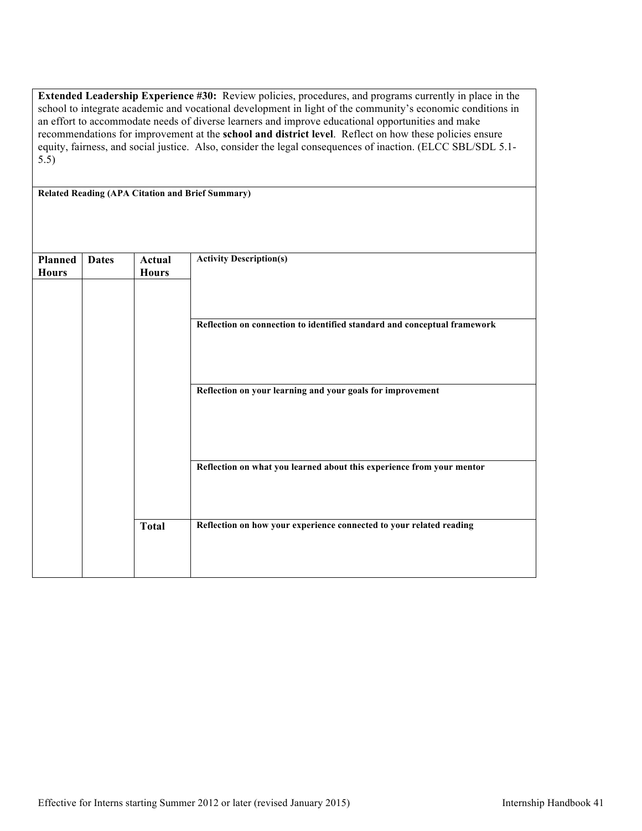| <b>Extended Leadership Experience #30:</b> Review policies, procedures, and programs currently in place in the |
|----------------------------------------------------------------------------------------------------------------|
| school to integrate academic and vocational development in light of the community's economic conditions in     |
| an effort to accommodate needs of diverse learners and improve educational opportunities and make              |
| recommendations for improvement at the <b>school and district level</b> . Reflect on how these policies ensure |
| equity, fairness, and social justice. Also, consider the legal consequences of inaction. (ELCC SBL/SDL 5.1-    |
| 5.5)                                                                                                           |

| <b>Planned</b><br><b>Hours</b> | <b>Dates</b> | Actual<br><b>Hours</b> | <b>Activity Description(s)</b>                                           |
|--------------------------------|--------------|------------------------|--------------------------------------------------------------------------|
|                                |              |                        | Reflection on connection to identified standard and conceptual framework |
|                                |              |                        | Reflection on your learning and your goals for improvement               |
|                                |              |                        | Reflection on what you learned about this experience from your mentor    |
|                                |              | <b>Total</b>           | Reflection on how your experience connected to your related reading      |
|                                |              |                        |                                                                          |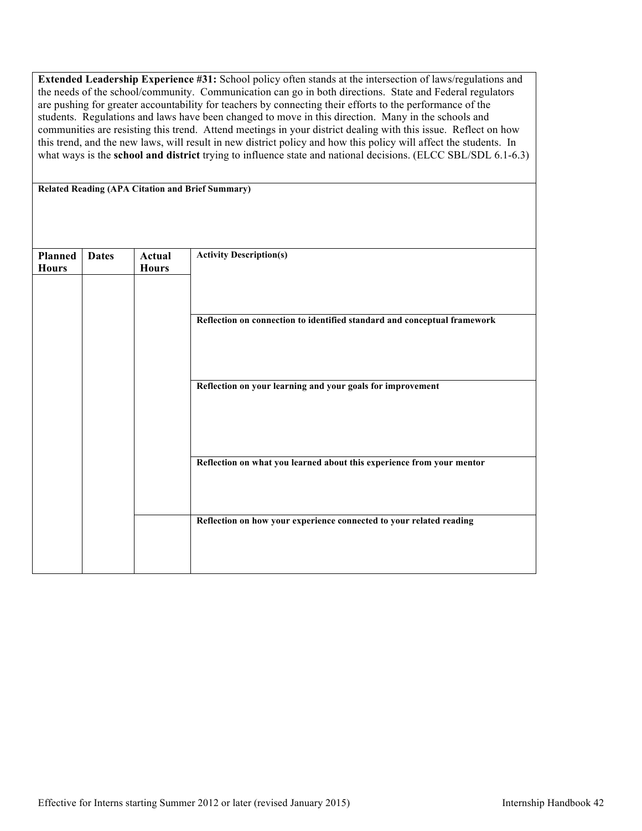**Extended Leadership Experience #31:** School policy often stands at the intersection of laws/regulations and the needs of the school/community. Communication can go in both directions. State and Federal regulators are pushing for greater accountability for teachers by connecting their efforts to the performance of the students. Regulations and laws have been changed to move in this direction. Many in the schools and communities are resisting this trend. Attend meetings in your district dealing with this issue. Reflect on how this trend, and the new laws, will result in new district policy and how this policy will affect the students. In what ways is the **school and district** trying to influence state and national decisions. (ELCC SBL/SDL 6.1-6.3)

| <b>Dates</b> | Actual<br><b>Hours</b> | <b>Activity Description(s)</b>                                           |
|--------------|------------------------|--------------------------------------------------------------------------|
|              |                        | Reflection on connection to identified standard and conceptual framework |
|              |                        | Reflection on your learning and your goals for improvement               |
|              |                        | Reflection on what you learned about this experience from your mentor    |
|              |                        | Reflection on how your experience connected to your related reading      |
|              |                        |                                                                          |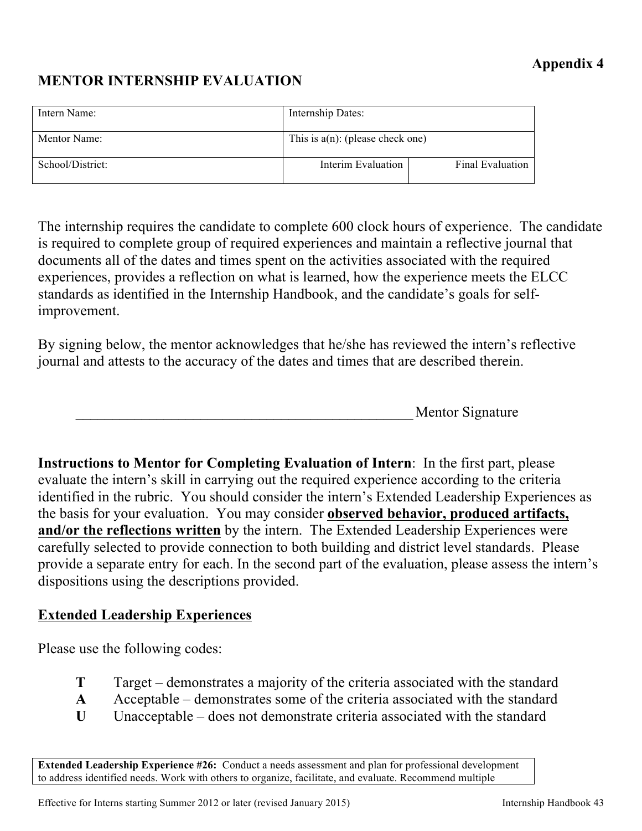## **Appendix 4**

## **MENTOR INTERNSHIP EVALUATION**

| Intern Name:     | Internship Dates:                   |                         |
|------------------|-------------------------------------|-------------------------|
| Mentor Name:     | This is $a(n)$ : (please check one) |                         |
| School/District: | Interim Evaluation                  | <b>Final Evaluation</b> |

The internship requires the candidate to complete 600 clock hours of experience. The candidate is required to complete group of required experiences and maintain a reflective journal that documents all of the dates and times spent on the activities associated with the required experiences, provides a reflection on what is learned, how the experience meets the ELCC standards as identified in the Internship Handbook, and the candidate's goals for selfimprovement.

By signing below, the mentor acknowledges that he/she has reviewed the intern's reflective journal and attests to the accuracy of the dates and times that are described therein.

|  | Mentor Signature |
|--|------------------|
|--|------------------|

**Instructions to Mentor for Completing Evaluation of Intern**: In the first part, please evaluate the intern's skill in carrying out the required experience according to the criteria identified in the rubric. You should consider the intern's Extended Leadership Experiences as the basis for your evaluation. You may consider **observed behavior, produced artifacts, and/or the reflections written** by the intern. The Extended Leadership Experiences were carefully selected to provide connection to both building and district level standards. Please provide a separate entry for each. In the second part of the evaluation, please assess the intern's dispositions using the descriptions provided.

## **Extended Leadership Experiences**

Please use the following codes:

- **T** Target demonstrates a majority of the criteria associated with the standard
- **A** Acceptable demonstrates some of the criteria associated with the standard
- **U** Unacceptable does not demonstrate criteria associated with the standard

**Extended Leadership Experience #26:** Conduct a needs assessment and plan for professional development to address identified needs. Work with others to organize, facilitate, and evaluate. Recommend multiple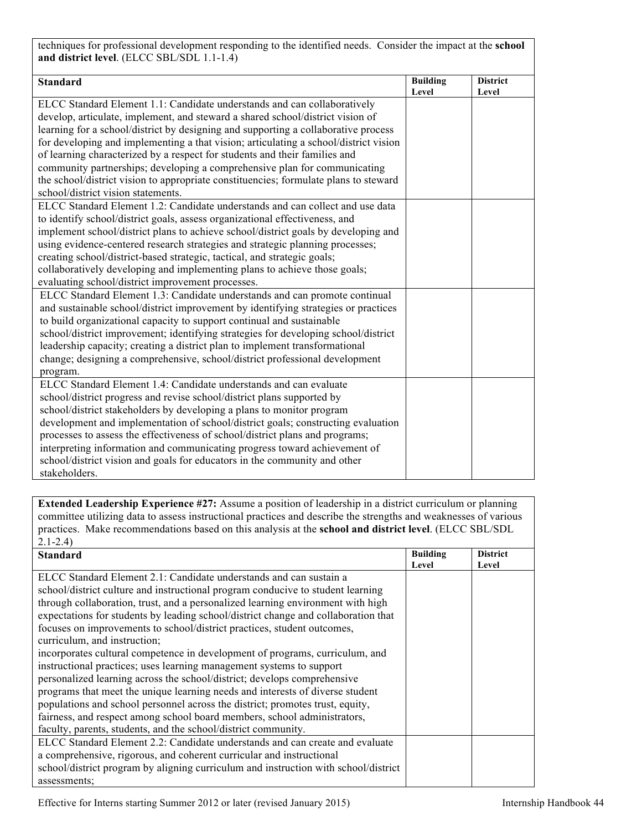techniques for professional development responding to the identified needs. Consider the impact at the **school and district level**. (ELCC SBL/SDL 1.1-1.4)

| <b>Standard</b>                                                                      | <b>Building</b> | <b>District</b> |
|--------------------------------------------------------------------------------------|-----------------|-----------------|
|                                                                                      | Level           | Level           |
| ELCC Standard Element 1.1: Candidate understands and can collaboratively             |                 |                 |
| develop, articulate, implement, and steward a shared school/district vision of       |                 |                 |
| learning for a school/district by designing and supporting a collaborative process   |                 |                 |
| for developing and implementing a that vision; articulating a school/district vision |                 |                 |
| of learning characterized by a respect for students and their families and           |                 |                 |
| community partnerships; developing a comprehensive plan for communicating            |                 |                 |
| the school/district vision to appropriate constituencies; formulate plans to steward |                 |                 |
| school/district vision statements.                                                   |                 |                 |
| ELCC Standard Element 1.2: Candidate understands and can collect and use data        |                 |                 |
| to identify school/district goals, assess organizational effectiveness, and          |                 |                 |
| implement school/district plans to achieve school/district goals by developing and   |                 |                 |
| using evidence-centered research strategies and strategic planning processes;        |                 |                 |
| creating school/district-based strategic, tactical, and strategic goals;             |                 |                 |
| collaboratively developing and implementing plans to achieve those goals;            |                 |                 |
| evaluating school/district improvement processes.                                    |                 |                 |
| ELCC Standard Element 1.3: Candidate understands and can promote continual           |                 |                 |
| and sustainable school/district improvement by identifying strategies or practices   |                 |                 |
| to build organizational capacity to support continual and sustainable                |                 |                 |
| school/district improvement; identifying strategies for developing school/district   |                 |                 |
| leadership capacity; creating a district plan to implement transformational          |                 |                 |
| change; designing a comprehensive, school/district professional development          |                 |                 |
| program.                                                                             |                 |                 |
| ELCC Standard Element 1.4: Candidate understands and can evaluate                    |                 |                 |
| school/district progress and revise school/district plans supported by               |                 |                 |
| school/district stakeholders by developing a plans to monitor program                |                 |                 |
| development and implementation of school/district goals; constructing evaluation     |                 |                 |
| processes to assess the effectiveness of school/district plans and programs;         |                 |                 |
| interpreting information and communicating progress toward achievement of            |                 |                 |
| school/district vision and goals for educators in the community and other            |                 |                 |
| stakeholders.                                                                        |                 |                 |

**Extended Leadership Experience #27:** Assume a position of leadership in a district curriculum or planning committee utilizing data to assess instructional practices and describe the strengths and weaknesses of various practices. Make recommendations based on this analysis at the **school and district level**. (ELCC SBL/SDL 2.1-2.4)

| <b>Standard</b>                                                                     | <b>Building</b> | <b>District</b> |
|-------------------------------------------------------------------------------------|-----------------|-----------------|
|                                                                                     | Level           | Level           |
| ELCC Standard Element 2.1: Candidate understands and can sustain a                  |                 |                 |
| school/district culture and instructional program conducive to student learning     |                 |                 |
| through collaboration, trust, and a personalized learning environment with high     |                 |                 |
| expectations for students by leading school/district change and collaboration that  |                 |                 |
| focuses on improvements to school/district practices, student outcomes,             |                 |                 |
| curriculum, and instruction;                                                        |                 |                 |
| incorporates cultural competence in development of programs, curriculum, and        |                 |                 |
| instructional practices; uses learning management systems to support                |                 |                 |
| personalized learning across the school/district; develops comprehensive            |                 |                 |
| programs that meet the unique learning needs and interests of diverse student       |                 |                 |
| populations and school personnel across the district; promotes trust, equity,       |                 |                 |
| fairness, and respect among school board members, school administrators,            |                 |                 |
| faculty, parents, students, and the school/district community.                      |                 |                 |
| ELCC Standard Element 2.2: Candidate understands and can create and evaluate        |                 |                 |
| a comprehensive, rigorous, and coherent curricular and instructional                |                 |                 |
| school/district program by aligning curriculum and instruction with school/district |                 |                 |
| assessments;                                                                        |                 |                 |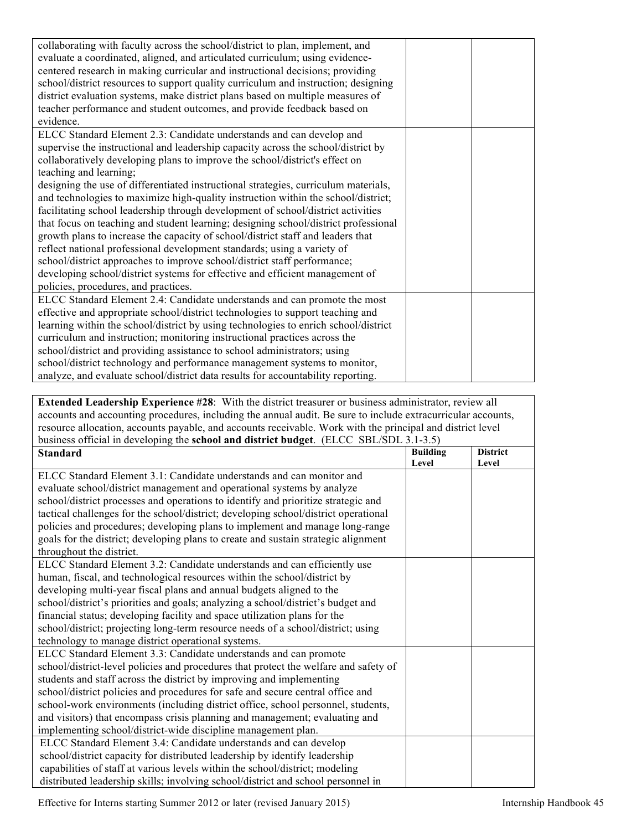| collaborating with faculty across the school/district to plan, implement, and       |
|-------------------------------------------------------------------------------------|
| evaluate a coordinated, aligned, and articulated curriculum; using evidence-        |
| centered research in making curricular and instructional decisions; providing       |
| school/district resources to support quality curriculum and instruction; designing  |
| district evaluation systems, make district plans based on multiple measures of      |
| teacher performance and student outcomes, and provide feedback based on             |
| evidence.                                                                           |
| ELCC Standard Element 2.3: Candidate understands and can develop and                |
| supervise the instructional and leadership capacity across the school/district by   |
| collaboratively developing plans to improve the school/district's effect on         |
| teaching and learning;                                                              |
| designing the use of differentiated instructional strategies, curriculum materials, |
| and technologies to maximize high-quality instruction within the school/district;   |
| facilitating school leadership through development of school/district activities    |
| that focus on teaching and student learning; designing school/district professional |
| growth plans to increase the capacity of school/district staff and leaders that     |
| reflect national professional development standards; using a variety of             |
| school/district approaches to improve school/district staff performance;            |
| developing school/district systems for effective and efficient management of        |
| policies, procedures, and practices.                                                |
| ELCC Standard Element 2.4: Candidate understands and can promote the most           |
| effective and appropriate school/district technologies to support teaching and      |
| learning within the school/district by using technologies to enrich school/district |
| curriculum and instruction; monitoring instructional practices across the           |
| school/district and providing assistance to school administrators; using            |
| school/district technology and performance management systems to monitor,           |
| analyze, and evaluate school/district data results for accountability reporting.    |

**Extended Leadership Experience #28**: With the district treasurer or business administrator, review all accounts and accounting procedures, including the annual audit. Be sure to include extracurricular accounts, resource allocation, accounts payable, and accounts receivable. Work with the principal and district level business official in developing the **school and district budget**. (ELCC SBL/SDL 3.1-3.5) **Standard Building Level District Level**

|                                                                                      | Level | Level |
|--------------------------------------------------------------------------------------|-------|-------|
| ELCC Standard Element 3.1: Candidate understands and can monitor and                 |       |       |
| evaluate school/district management and operational systems by analyze               |       |       |
| school/district processes and operations to identify and prioritize strategic and    |       |       |
| tactical challenges for the school/district; developing school/district operational  |       |       |
| policies and procedures; developing plans to implement and manage long-range         |       |       |
| goals for the district; developing plans to create and sustain strategic alignment   |       |       |
| throughout the district.                                                             |       |       |
| ELCC Standard Element 3.2: Candidate understands and can efficiently use             |       |       |
| human, fiscal, and technological resources within the school/district by             |       |       |
| developing multi-year fiscal plans and annual budgets aligned to the                 |       |       |
| school/district's priorities and goals; analyzing a school/district's budget and     |       |       |
| financial status; developing facility and space utilization plans for the            |       |       |
| school/district; projecting long-term resource needs of a school/district; using     |       |       |
| technology to manage district operational systems.                                   |       |       |
| ELCC Standard Element 3.3: Candidate understands and can promote                     |       |       |
| school/district-level policies and procedures that protect the welfare and safety of |       |       |
| students and staff across the district by improving and implementing                 |       |       |
| school/district policies and procedures for safe and secure central office and       |       |       |
| school-work environments (including district office, school personnel, students,     |       |       |
| and visitors) that encompass crisis planning and management; evaluating and          |       |       |
| implementing school/district-wide discipline management plan.                        |       |       |
| ELCC Standard Element 3.4: Candidate understands and can develop                     |       |       |
| school/district capacity for distributed leadership by identify leadership           |       |       |
| capabilities of staff at various levels within the school/district; modeling         |       |       |
| distributed leadership skills; involving school/district and school personnel in     |       |       |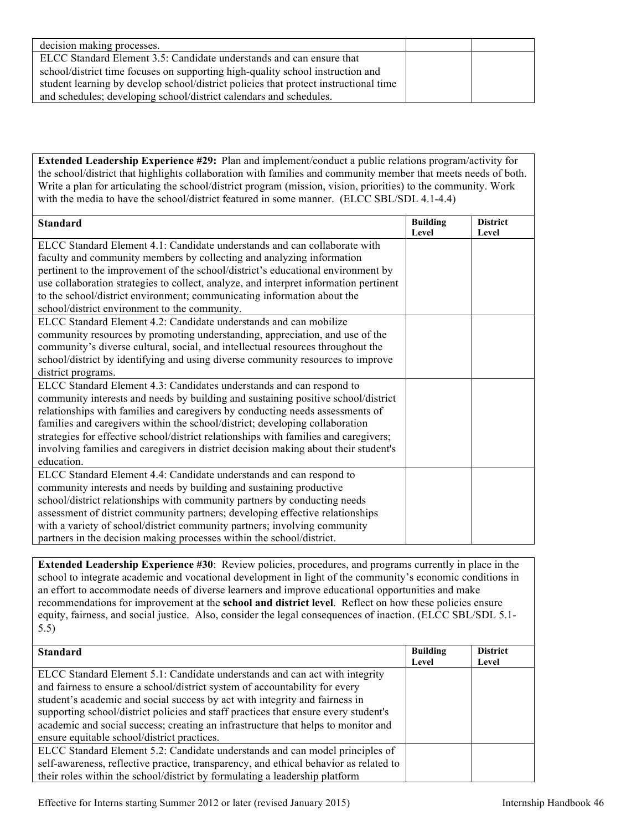| decision making processes.                                                           |  |
|--------------------------------------------------------------------------------------|--|
| ELCC Standard Element 3.5: Candidate understands and can ensure that                 |  |
| school/district time focuses on supporting high-quality school instruction and       |  |
| student learning by develop school/district policies that protect instructional time |  |
| and schedules; developing school/district calendars and schedules.                   |  |

**Extended Leadership Experience #29:** Plan and implement/conduct a public relations program/activity for the school/district that highlights collaboration with families and community member that meets needs of both. Write a plan for articulating the school/district program (mission, vision, priorities) to the community. Work with the media to have the school/district featured in some manner. (ELCC SBL/SDL 4.1-4.4)

| <b>Standard</b>                                                                       | <b>Building</b> | <b>District</b> |
|---------------------------------------------------------------------------------------|-----------------|-----------------|
|                                                                                       | Level           | Level           |
| ELCC Standard Element 4.1: Candidate understands and can collaborate with             |                 |                 |
| faculty and community members by collecting and analyzing information                 |                 |                 |
| pertinent to the improvement of the school/district's educational environment by      |                 |                 |
| use collaboration strategies to collect, analyze, and interpret information pertinent |                 |                 |
| to the school/district environment; communicating information about the               |                 |                 |
| school/district environment to the community.                                         |                 |                 |
| ELCC Standard Element 4.2: Candidate understands and can mobilize                     |                 |                 |
| community resources by promoting understanding, appreciation, and use of the          |                 |                 |
| community's diverse cultural, social, and intellectual resources throughout the       |                 |                 |
| school/district by identifying and using diverse community resources to improve       |                 |                 |
| district programs.                                                                    |                 |                 |
| ELCC Standard Element 4.3: Candidates understands and can respond to                  |                 |                 |
| community interests and needs by building and sustaining positive school/district     |                 |                 |
| relationships with families and caregivers by conducting needs assessments of         |                 |                 |
| families and caregivers within the school/district; developing collaboration          |                 |                 |
| strategies for effective school/district relationships with families and caregivers;  |                 |                 |
| involving families and caregivers in district decision making about their student's   |                 |                 |
| education.                                                                            |                 |                 |
| ELCC Standard Element 4.4: Candidate understands and can respond to                   |                 |                 |
| community interests and needs by building and sustaining productive                   |                 |                 |
| school/district relationships with community partners by conducting needs             |                 |                 |
| assessment of district community partners; developing effective relationships         |                 |                 |
| with a variety of school/district community partners; involving community             |                 |                 |
| partners in the decision making processes within the school/district.                 |                 |                 |

**Extended Leadership Experience #30**: Review policies, procedures, and programs currently in place in the school to integrate academic and vocational development in light of the community's economic conditions in an effort to accommodate needs of diverse learners and improve educational opportunities and make recommendations for improvement at the **school and district level**. Reflect on how these policies ensure equity, fairness, and social justice. Also, consider the legal consequences of inaction. (ELCC SBL/SDL 5.1- 5.5)

| <b>Standard</b>                                                                       | Building<br>Level | <b>District</b><br>Level |
|---------------------------------------------------------------------------------------|-------------------|--------------------------|
| ELCC Standard Element 5.1: Candidate understands and can act with integrity           |                   |                          |
| and fairness to ensure a school/district system of accountability for every           |                   |                          |
| student's academic and social success by act with integrity and fairness in           |                   |                          |
| supporting school/district policies and staff practices that ensure every student's   |                   |                          |
| academic and social success; creating an infrastructure that helps to monitor and     |                   |                          |
| ensure equitable school/district practices.                                           |                   |                          |
| ELCC Standard Element 5.2: Candidate understands and can model principles of          |                   |                          |
| self-awareness, reflective practice, transparency, and ethical behavior as related to |                   |                          |
| their roles within the school/district by formulating a leadership platform           |                   |                          |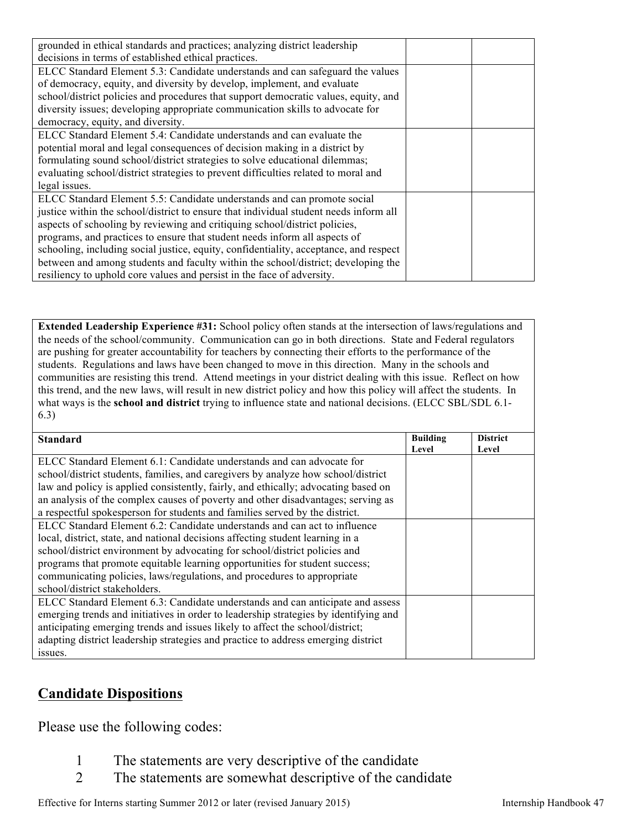| grounded in ethical standards and practices; analyzing district leadership            |  |
|---------------------------------------------------------------------------------------|--|
| decisions in terms of established ethical practices.                                  |  |
| ELCC Standard Element 5.3: Candidate understands and can safeguard the values         |  |
| of democracy, equity, and diversity by develop, implement, and evaluate               |  |
| school/district policies and procedures that support democratic values, equity, and   |  |
| diversity issues; developing appropriate communication skills to advocate for         |  |
| democracy, equity, and diversity.                                                     |  |
| ELCC Standard Element 5.4: Candidate understands and can evaluate the                 |  |
| potential moral and legal consequences of decision making in a district by            |  |
| formulating sound school/district strategies to solve educational dilemmas;           |  |
| evaluating school/district strategies to prevent difficulties related to moral and    |  |
| legal issues.                                                                         |  |
| ELCC Standard Element 5.5: Candidate understands and can promote social               |  |
| justice within the school/district to ensure that individual student needs inform all |  |
| aspects of schooling by reviewing and critiquing school/district policies,            |  |
| programs, and practices to ensure that student needs inform all aspects of            |  |
| schooling, including social justice, equity, confidentiality, acceptance, and respect |  |
| between and among students and faculty within the school/district; developing the     |  |
| resiliency to uphold core values and persist in the face of adversity.                |  |

**Extended Leadership Experience #31:** School policy often stands at the intersection of laws/regulations and the needs of the school/community. Communication can go in both directions. State and Federal regulators are pushing for greater accountability for teachers by connecting their efforts to the performance of the students. Regulations and laws have been changed to move in this direction. Many in the schools and communities are resisting this trend. Attend meetings in your district dealing with this issue. Reflect on how this trend, and the new laws, will result in new district policy and how this policy will affect the students. In what ways is the **school and district** trying to influence state and national decisions. (ELCC SBL/SDL 6.1-6.3)

| <b>Standard</b>                                                                      | <b>Building</b> | <b>District</b> |
|--------------------------------------------------------------------------------------|-----------------|-----------------|
|                                                                                      | Level           | Level           |
| ELCC Standard Element 6.1: Candidate understands and can advocate for                |                 |                 |
| school/district students, families, and caregivers by analyze how school/district    |                 |                 |
| law and policy is applied consistently, fairly, and ethically; advocating based on   |                 |                 |
| an analysis of the complex causes of poverty and other disadvantages; serving as     |                 |                 |
| a respectful spokesperson for students and families served by the district.          |                 |                 |
| ELCC Standard Element 6.2: Candidate understands and can act to influence            |                 |                 |
| local, district, state, and national decisions affecting student learning in a       |                 |                 |
| school/district environment by advocating for school/district policies and           |                 |                 |
| programs that promote equitable learning opportunities for student success;          |                 |                 |
| communicating policies, laws/regulations, and procedures to appropriate              |                 |                 |
| school/district stakeholders.                                                        |                 |                 |
| ELCC Standard Element 6.3: Candidate understands and can anticipate and assess       |                 |                 |
| emerging trends and initiatives in order to leadership strategies by identifying and |                 |                 |
| anticipating emerging trends and issues likely to affect the school/district;        |                 |                 |
| adapting district leadership strategies and practice to address emerging district    |                 |                 |
| issues.                                                                              |                 |                 |

## **Candidate Dispositions**

Please use the following codes:

- 1 The statements are very descriptive of the candidate
- 2 The statements are somewhat descriptive of the candidate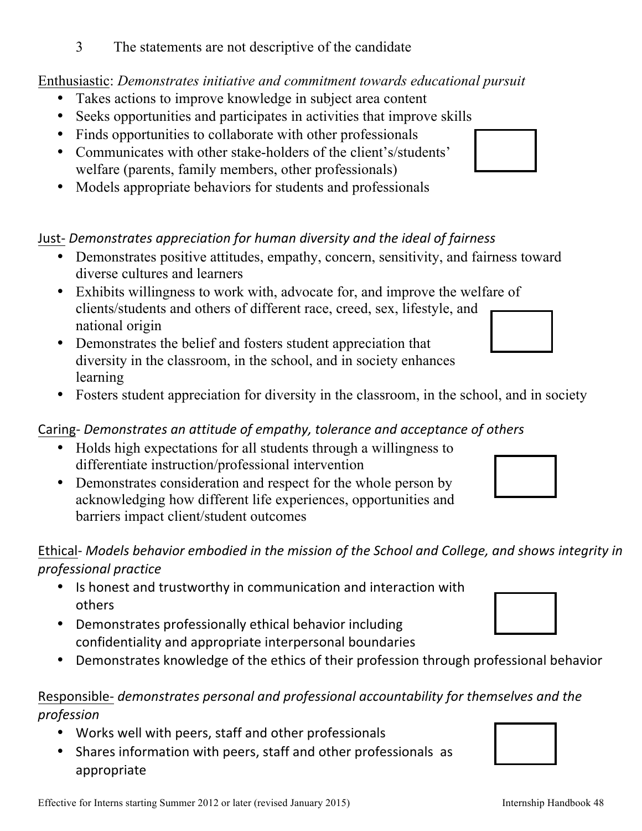## 3 The statements are not descriptive of the candidate

## Enthusiastic: *Demonstrates initiative and commitment towards educational pursuit*

- Takes actions to improve knowledge in subject area content
- Seeks opportunities and participates in activities that improve skills
- Finds opportunities to collaborate with other professionals
- Communicates with other stake-holders of the client's/students' welfare (parents, family members, other professionals)
- Models appropriate behaviors for students and professionals

## Just- Demonstrates appreciation for human diversity and the ideal of fairness

- Demonstrates positive attitudes, empathy, concern, sensitivity, and fairness toward diverse cultures and learners
- Exhibits willingness to work with, advocate for, and improve the welfare of clients/students and others of different race, creed, sex, lifestyle, and national origin
- Demonstrates the belief and fosters student appreciation that diversity in the classroom, in the school, and in society enhances learning
- Fosters student appreciation for diversity in the classroom, in the school, and in society

## Caring- Demonstrates an attitude of empathy, tolerance and acceptance of others

- Holds high expectations for all students through a willingness to differentiate instruction/professional intervention
- Demonstrates consideration and respect for the whole person by acknowledging how different life experiences, opportunities and barriers impact client/student outcomes

## Ethical- Models behavior embodied in the mission of the School and College, and shows integrity in *professional practice*

- Is honest and trustworthy in communication and interaction with others
- Demonstrates professionally ethical behavior including confidentiality and appropriate interpersonal boundaries
- Demonstrates knowledge of the ethics of their profession through professional behavior

## Responsible- *demonstrates personal and professional accountability for themselves and the profession*

- Works well with peers, staff and other professionals
- Shares information with peers, staff and other professionals as appropriate









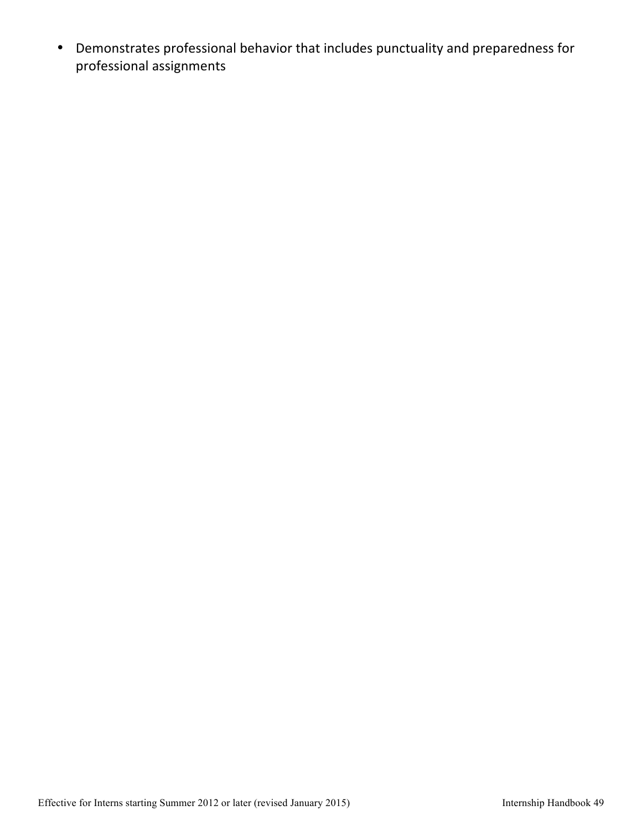• Demonstrates professional behavior that includes punctuality and preparedness for professional assignments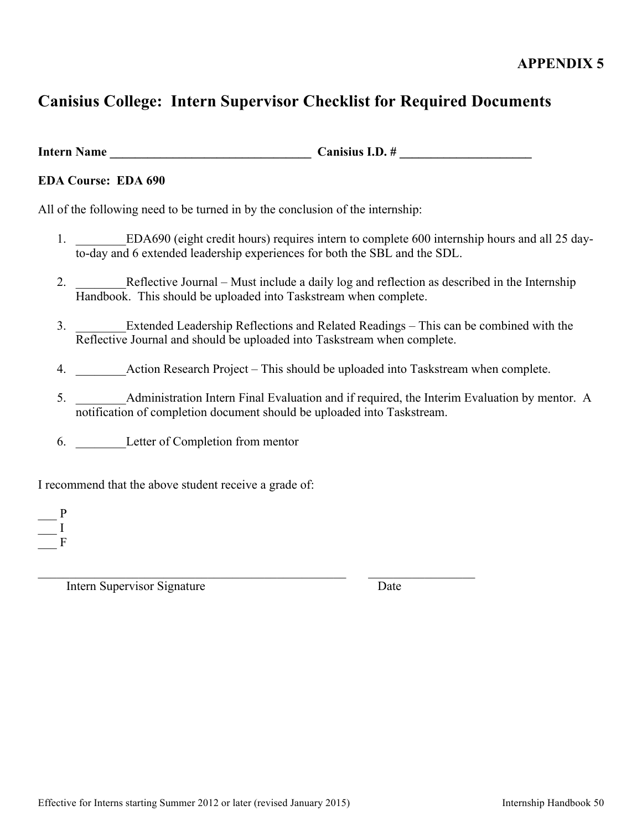# **Canisius College: Intern Supervisor Checklist for Required Documents**

**Intern Name \_\_\_\_\_\_\_\_\_\_\_\_\_\_\_\_\_\_\_\_\_\_\_\_\_\_\_\_\_\_\_\_ Canisius I.D. # \_\_\_\_\_\_\_\_\_\_\_\_\_\_\_\_\_\_\_\_\_**

## **EDA Course: EDA 690**

All of the following need to be turned in by the conclusion of the internship:

- 1. EDA690 (eight credit hours) requires intern to complete 600 internship hours and all 25 dayto-day and 6 extended leadership experiences for both the SBL and the SDL.
- 2. \_\_\_\_\_\_\_\_Reflective Journal Must include a daily log and reflection as described in the Internship Handbook. This should be uploaded into Taskstream when complete.
- 3. \_\_\_\_\_\_\_\_Extended Leadership Reflections and Related Readings This can be combined with the Reflective Journal and should be uploaded into Taskstream when complete.
- 4. Action Research Project This should be uploaded into Taskstream when complete.
- 5. \_\_\_\_\_\_\_\_Administration Intern Final Evaluation and if required, the Interim Evaluation by mentor. A notification of completion document should be uploaded into Taskstream.
- 6. \_\_\_\_\_\_\_\_Letter of Completion from mentor

I recommend that the above student receive a grade of:

 $\mathbf P$  $\equiv$  I  $\overline{F}$ 

 $\_$  , and the set of the set of the set of the set of the set of the set of the set of the set of the set of the set of the set of the set of the set of the set of the set of the set of the set of the set of the set of th Intern Supervisor Signature Date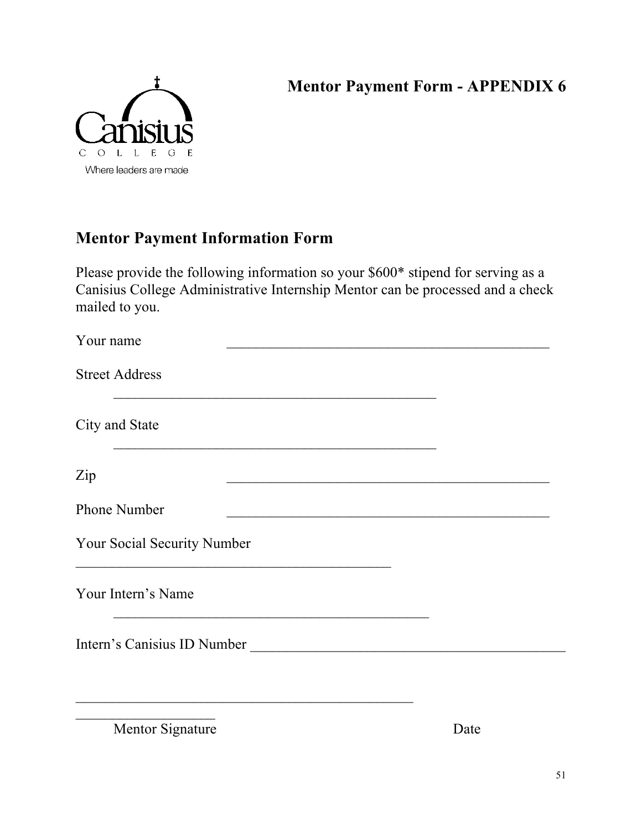# **Mentor Payment Form - APPENDIX 6**



# **Mentor Payment Information Form**

Please provide the following information so your \$600\* stipend for serving as a Canisius College Administrative Internship Mentor can be processed and a check mailed to you.

| Your name                   |  |
|-----------------------------|--|
| <b>Street Address</b>       |  |
| City and State              |  |
| Zip                         |  |
| <b>Phone Number</b>         |  |
| Your Social Security Number |  |
| Your Intern's Name          |  |
| Intern's Canisius ID Number |  |
|                             |  |

Mentor Signature Date